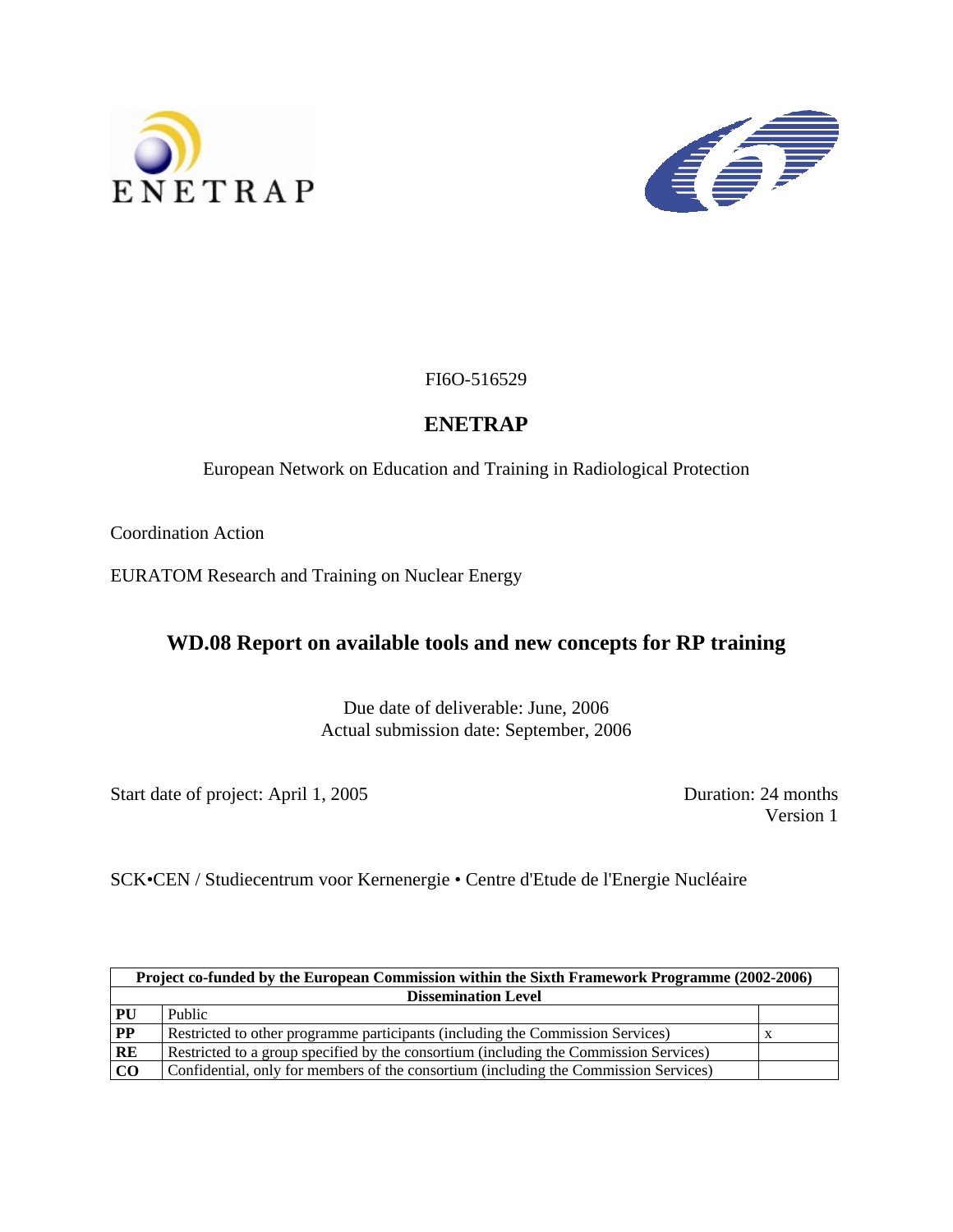



FI6O-516529

# **ENETRAP**

European Network on Education and Training in Radiological Protection

Coordination Action

EURATOM Research and Training on Nuclear Energy

# **WD.08 Report on available tools and new concepts for RP training**

Due date of deliverable: June, 2006 Actual submission date: September, 2006

Start date of project: April 1, 2005 Duration: 24 months

Version 1

SCK•CEN / Studiecentrum voor Kernenergie • Centre d'Etude de l'Energie Nucléaire

| Project co-funded by the European Commission within the Sixth Framework Programme (2002-2006) |                                                                                       |  |  |
|-----------------------------------------------------------------------------------------------|---------------------------------------------------------------------------------------|--|--|
|                                                                                               | <b>Dissemination Level</b>                                                            |  |  |
| PU                                                                                            | Public                                                                                |  |  |
| $\overline{PP}$                                                                               | Restricted to other programme participants (including the Commission Services)        |  |  |
| RE                                                                                            | Restricted to a group specified by the consortium (including the Commission Services) |  |  |
| CO                                                                                            | Confidential, only for members of the consortium (including the Commission Services)  |  |  |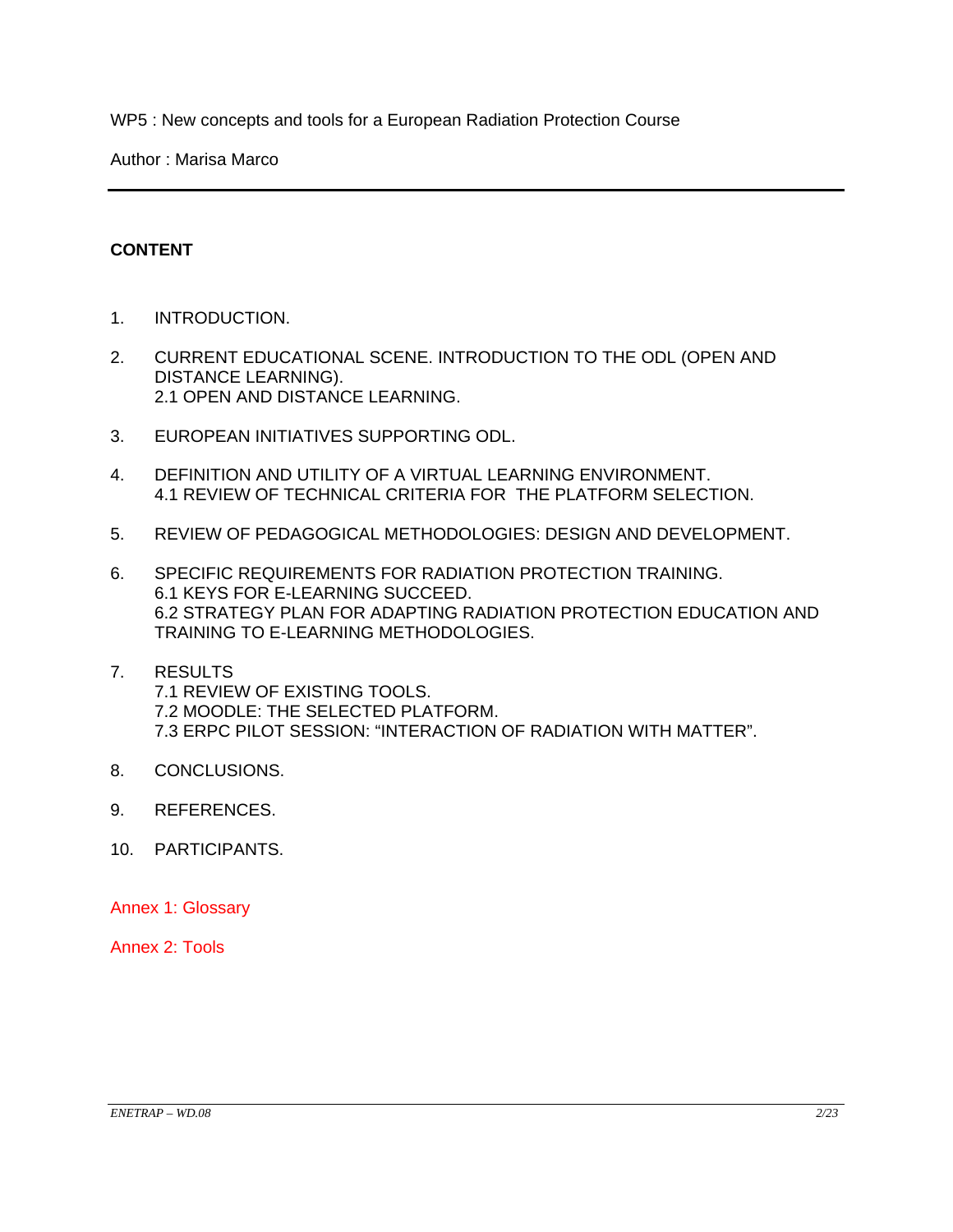WP5 : New concepts and tools for a European Radiation Protection Course

Author : Marisa Marco

## **CONTENT**

- 1. INTRODUCTION.
- 2. CURRENT EDUCATIONAL SCENE. INTRODUCTION TO THE ODL (OPEN AND DISTANCE LEARNING). 2.1 OPEN AND DISTANCE LEARNING.
- 3. EUROPEAN INITIATIVES SUPPORTING ODL.
- 4. DEFINITION AND UTILITY OF A VIRTUAL LEARNING ENVIRONMENT. 4.1 REVIEW OF TECHNICAL CRITERIA FOR THE PLATFORM SELECTION.
- 5. REVIEW OF PEDAGOGICAL METHODOLOGIES: DESIGN AND DEVELOPMENT.
- 6. SPECIFIC REQUIREMENTS FOR RADIATION PROTECTION TRAINING. 6.1 KEYS FOR E-LEARNING SUCCEED. 6.2 STRATEGY PLAN FOR ADAPTING RADIATION PROTECTION EDUCATION AND TRAINING TO E-LEARNING METHODOLOGIES.
- 7. RESULTS 7.1 REVIEW OF EXISTING TOOLS. 7.2 MOODLE: THE SELECTED PLATFORM. 7.3 ERPC PILOT SESSION: "INTERACTION OF RADIATION WITH MATTER".
- 8. CONCLUSIONS.
- 9. REFERENCES.
- 10. PARTICIPANTS.

Annex 1: Glossary

Annex 2: Tools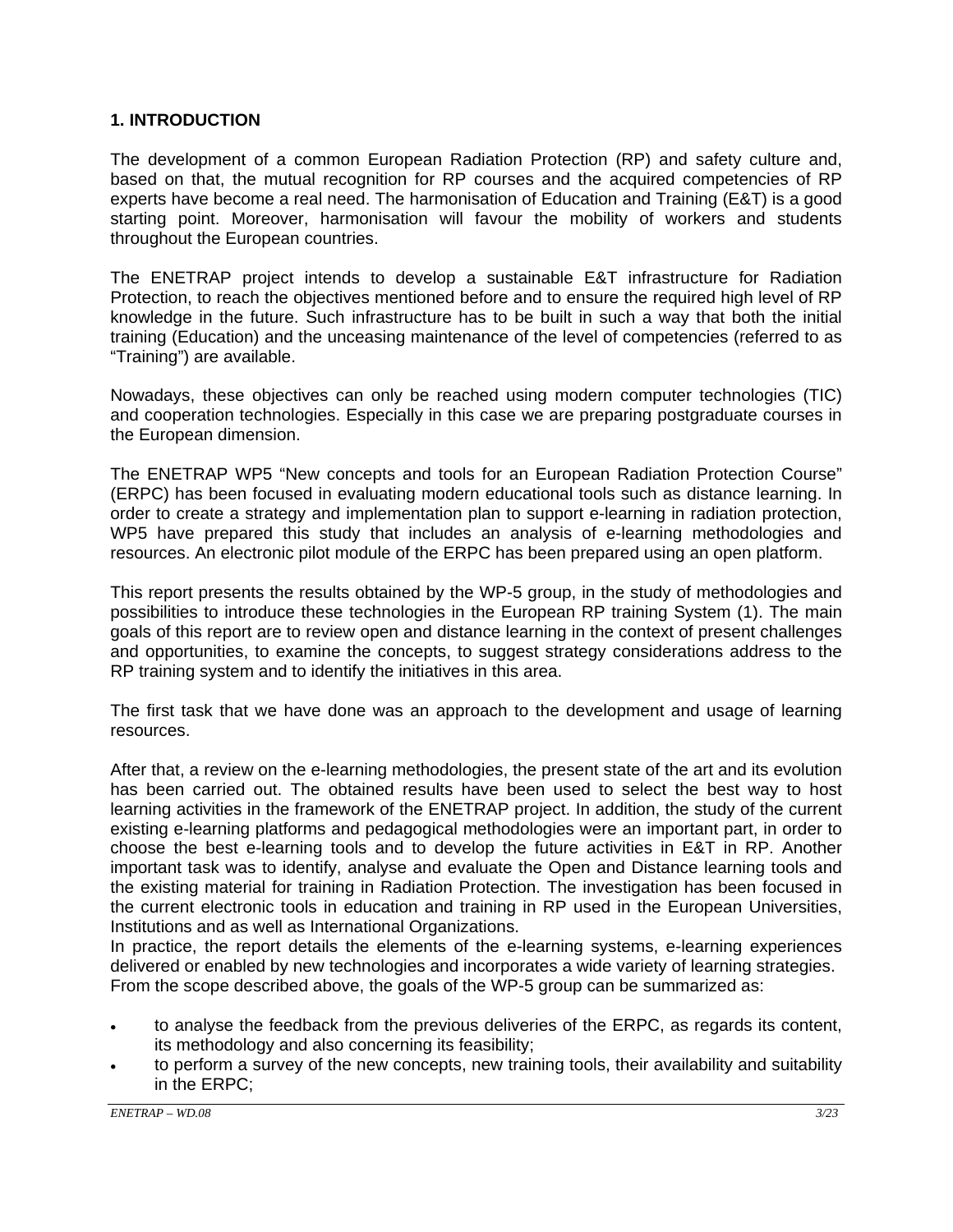### **1. INTRODUCTION**

The development of a common European Radiation Protection (RP) and safety culture and, based on that, the mutual recognition for RP courses and the acquired competencies of RP experts have become a real need. The harmonisation of Education and Training (E&T) is a good starting point. Moreover, harmonisation will favour the mobility of workers and students throughout the European countries.

The ENETRAP project intends to develop a sustainable E&T infrastructure for Radiation Protection, to reach the objectives mentioned before and to ensure the required high level of RP knowledge in the future. Such infrastructure has to be built in such a way that both the initial training (Education) and the unceasing maintenance of the level of competencies (referred to as "Training") are available.

Nowadays, these objectives can only be reached using modern computer technologies (TIC) and cooperation technologies. Especially in this case we are preparing postgraduate courses in the European dimension.

The ENETRAP WP5 "New concepts and tools for an European Radiation Protection Course" (ERPC) has been focused in evaluating modern educational tools such as distance learning. In order to create a strategy and implementation plan to support e-learning in radiation protection, WP5 have prepared this study that includes an analysis of e-learning methodologies and resources. An electronic pilot module of the ERPC has been prepared using an open platform.

This report presents the results obtained by the WP-5 group, in the study of methodologies and possibilities to introduce these technologies in the European RP training System (1). The main goals of this report are to review open and distance learning in the context of present challenges and opportunities, to examine the concepts, to suggest strategy considerations address to the RP training system and to identify the initiatives in this area.

The first task that we have done was an approach to the development and usage of learning resources.

After that, a review on the e-learning methodologies, the present state of the art and its evolution has been carried out. The obtained results have been used to select the best way to host learning activities in the framework of the ENETRAP project. In addition, the study of the current existing e-learning platforms and pedagogical methodologies were an important part, in order to choose the best e-learning tools and to develop the future activities in E&T in RP. Another important task was to identify, analyse and evaluate the Open and Distance learning tools and the existing material for training in Radiation Protection. The investigation has been focused in the current electronic tools in education and training in RP used in the European Universities, Institutions and as well as International Organizations.

In practice, the report details the elements of the e-learning systems, e-learning experiences delivered or enabled by new technologies and incorporates a wide variety of learning strategies. From the scope described above, the goals of the WP-5 group can be summarized as:

- to analyse the feedback from the previous deliveries of the ERPC, as regards its content, its methodology and also concerning its feasibility;
- to perform a survey of the new concepts, new training tools, their availability and suitability in the ERPC;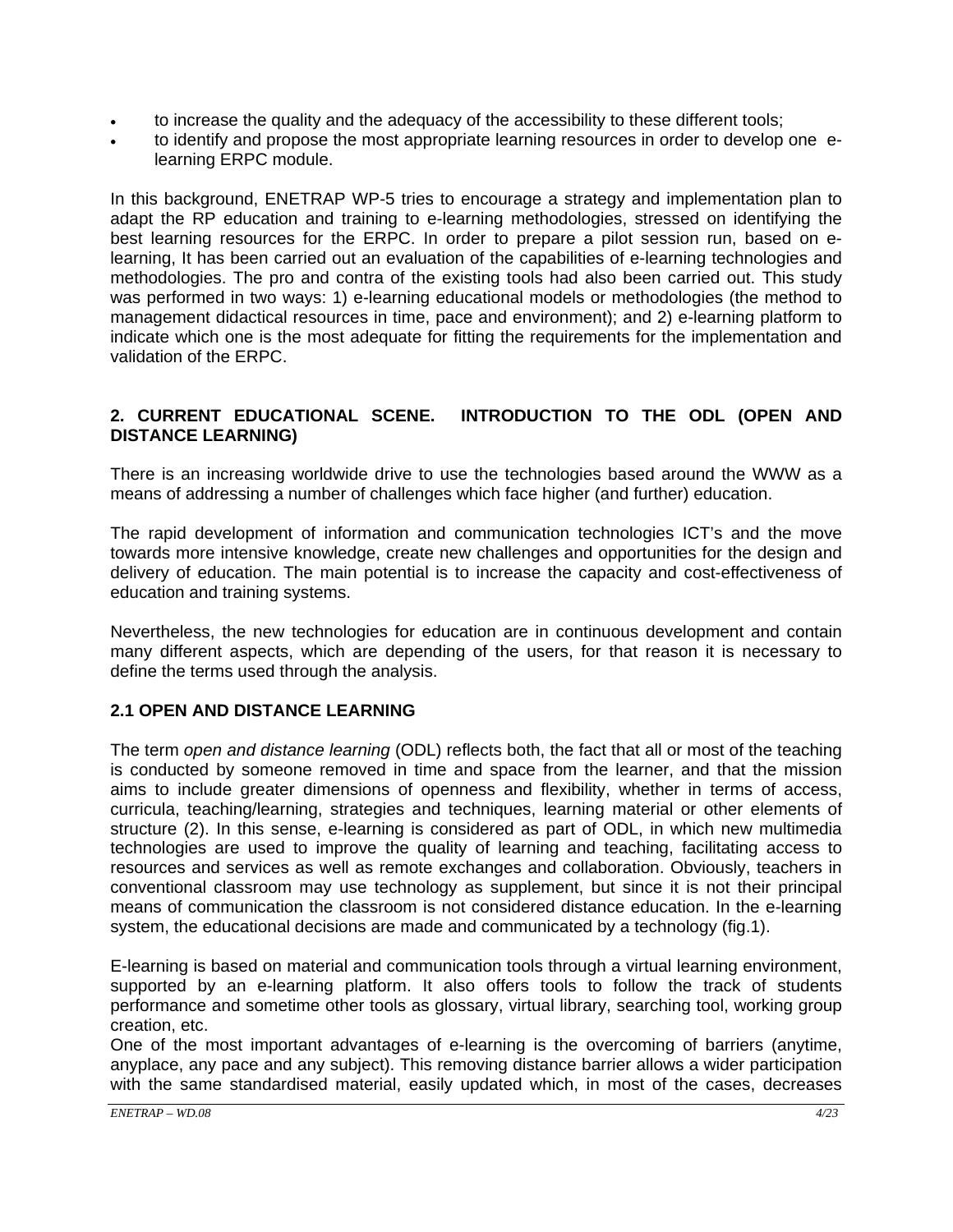- to increase the quality and the adequacy of the accessibility to these different tools;
- to identify and propose the most appropriate learning resources in order to develop one elearning ERPC module.

In this background, ENETRAP WP-5 tries to encourage a strategy and implementation plan to adapt the RP education and training to e-learning methodologies, stressed on identifying the best learning resources for the ERPC. In order to prepare a pilot session run, based on elearning, It has been carried out an evaluation of the capabilities of e-learning technologies and methodologies. The pro and contra of the existing tools had also been carried out. This study was performed in two ways: 1) e-learning educational models or methodologies (the method to management didactical resources in time, pace and environment); and 2) e-learning platform to indicate which one is the most adequate for fitting the requirements for the implementation and validation of the ERPC.

## **2. CURRENT EDUCATIONAL SCENE. INTRODUCTION TO THE ODL (OPEN AND DISTANCE LEARNING)**

There is an increasing worldwide drive to use the technologies based around the WWW as a means of addressing a number of challenges which face higher (and further) education.

The rapid development of information and communication technologies ICT's and the move towards more intensive knowledge, create new challenges and opportunities for the design and delivery of education. The main potential is to increase the capacity and cost-effectiveness of education and training systems.

Nevertheless, the new technologies for education are in continuous development and contain many different aspects, which are depending of the users, for that reason it is necessary to define the terms used through the analysis.

## **2.1 OPEN AND DISTANCE LEARNING**

The term *open and distance learning* (ODL) reflects both, the fact that all or most of the teaching is conducted by someone removed in time and space from the learner, and that the mission aims to include greater dimensions of openness and flexibility, whether in terms of access, curricula, teaching/learning, strategies and techniques, learning material or other elements of structure (2). In this sense, e-learning is considered as part of ODL, in which new multimedia technologies are used to improve the quality of learning and teaching, facilitating access to resources and services as well as remote exchanges and collaboration. Obviously, teachers in conventional classroom may use technology as supplement, but since it is not their principal means of communication the classroom is not considered distance education. In the e-learning system, the educational decisions are made and communicated by a technology (fig.1).

E-learning is based on material and communication tools through a virtual learning environment, supported by an e-learning platform. It also offers tools to follow the track of students performance and sometime other tools as glossary, virtual library, searching tool, working group creation, etc.

One of the most important advantages of e-learning is the overcoming of barriers (anytime, anyplace, any pace and any subject). This removing distance barrier allows a wider participation with the same standardised material, easily updated which, in most of the cases, decreases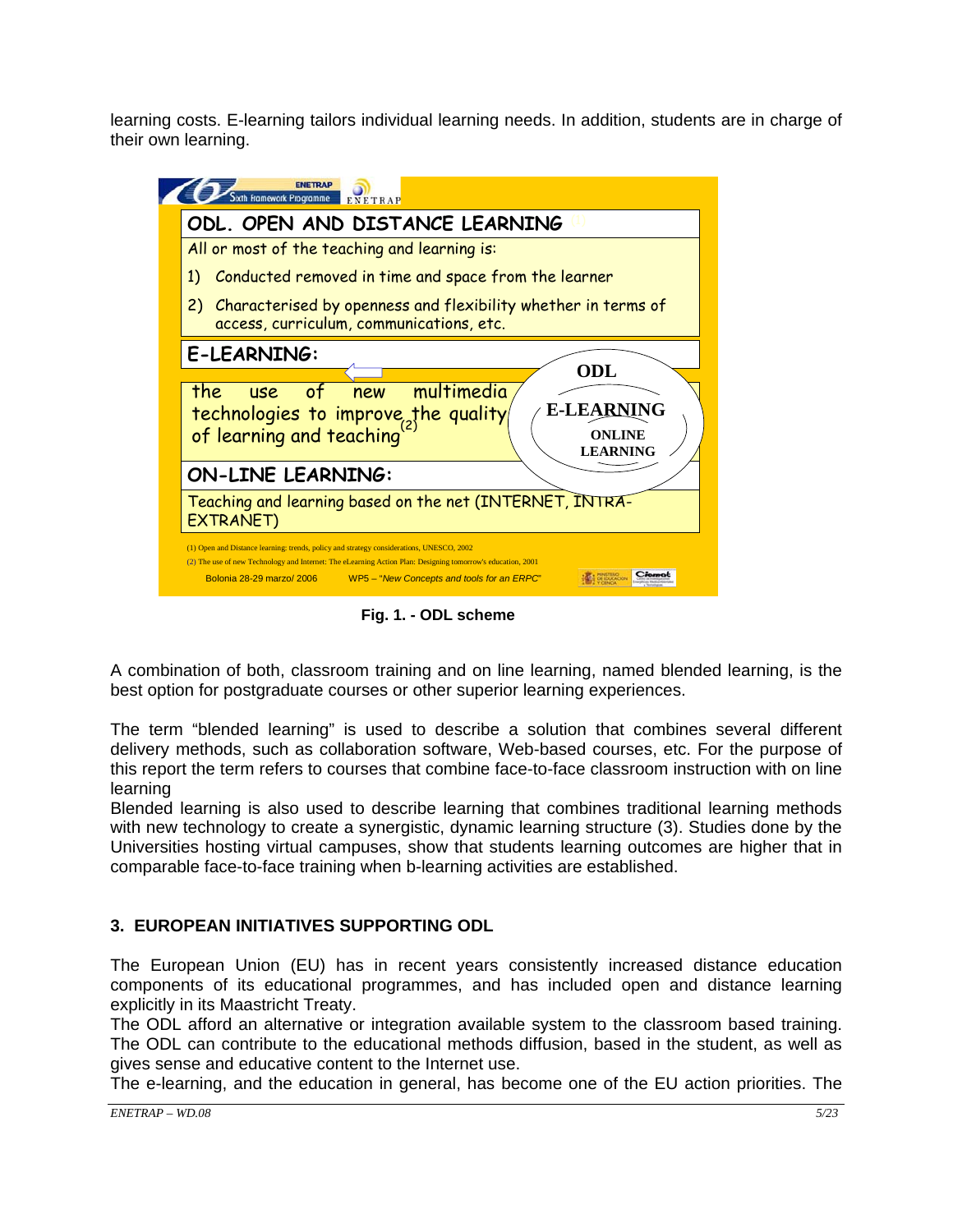learning costs. E-learning tailors individual learning needs. In addition, students are in charge of their own learning.



**Fig. 1. - ODL scheme** 

A combination of both, classroom training and on line learning, named blended learning, is the best option for postgraduate courses or other superior learning experiences.

The term "blended learning" is used to describe a solution that combines several different delivery methods, such as collaboration software, Web-based courses, etc. For the purpose of this report the term refers to courses that combine face-to-face classroom instruction with on line learning

Blended learning is also used to describe learning that combines traditional learning methods with new technology to create a synergistic, dynamic learning structure (3). Studies done by the Universities hosting virtual campuses, show that students learning outcomes are higher that in comparable face-to-face training when b-learning activities are established.

## **3. EUROPEAN INITIATIVES SUPPORTING ODL**

The European Union (EU) has in recent years consistently increased distance education components of its educational programmes, and has included open and distance learning explicitly in its Maastricht Treaty.

The ODL afford an alternative or integration available system to the classroom based training. The ODL can contribute to the educational methods diffusion, based in the student, as well as gives sense and educative content to the Internet use.

The e-learning, and the education in general, has become one of the EU action priorities. The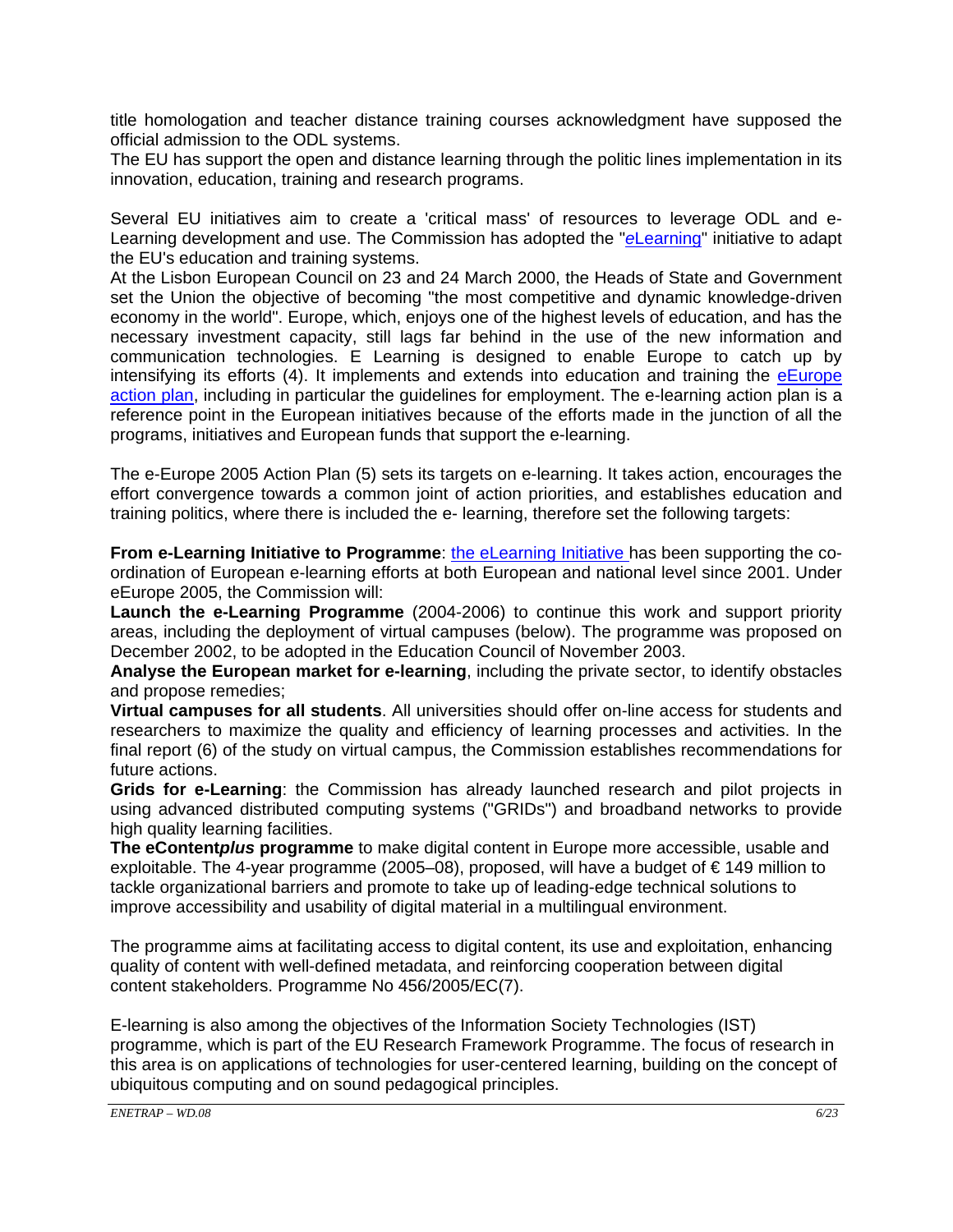title homologation and teacher distance training courses acknowledgment have supposed the official admission to the ODL systems.

The EU has support the open and distance learning through the politic lines implementation in its innovation, education, training and research programs.

Several EU initiatives aim to create a 'critical mass' of resources to leverage ODL and e-Learning development and use. The Commission has adopted the "*e*Learning" initiative to adapt the EU's education and training systems.

At the Lisbon European Council on 23 and 24 March 2000, the Heads of State and Government set the Union the objective of becoming "the most competitive and dynamic knowledge-driven economy in the world". Europe, which, enjoys one of the highest levels of education, and has the necessary investment capacity, still lags far behind in the use of the new information and communication technologies. E Learning is designed to enable Europe to catch up by intensifying its efforts  $(4)$ . It implements and extends into education and training the **eEurope** action plan, including in particular the guidelines for employment. The e-learning action plan is a reference point in the European initiatives because of the efforts made in the junction of all the programs, initiatives and European funds that support the e-learning.

The e-Europe 2005 Action Plan (5) sets its targets on e-learning. It takes action, encourages the effort convergence towards a common joint of action priorities, and establishes education and training politics, where there is included the e- learning, therefore set the following targets:

**From e-Learning Initiative to Programme**: the eLearning Initiative has been supporting the coordination of European e-learning efforts at both European and national level since 2001. Under eEurope 2005, the Commission will:

**Launch the e-Learning Programme** (2004-2006) to continue this work and support priority areas, including the deployment of virtual campuses (below). The programme was proposed on December 2002, to be adopted in the Education Council of November 2003.

**Analyse the European market for e-learning**, including the private sector, to identify obstacles and propose remedies;

**Virtual campuses for all students**. All universities should offer on-line access for students and researchers to maximize the quality and efficiency of learning processes and activities. In the final report (6) of the study on virtual campus, the Commission establishes recommendations for future actions.

**Grids for e-Learning**: the Commission has already launched research and pilot projects in using advanced distributed computing systems ("GRIDs") and broadband networks to provide high quality learning facilities.

**The eContent***plus* **programme** to make digital content in Europe more accessible, usable and exploitable. The 4-year programme (2005–08), proposed, will have a budget of € 149 million to tackle organizational barriers and promote to take up of leading-edge technical solutions to improve accessibility and usability of digital material in a multilingual environment.

The programme aims at facilitating access to digital content, its use and exploitation, enhancing quality of content with well-defined metadata, and reinforcing cooperation between digital content stakeholders. Programme No 456/2005/EC(7).

E-learning is also among the objectives of the Information Society Technologies (IST) programme, which is part of the EU Research Framework Programme. The focus of research in this area is on applications of technologies for user-centered learning, building on the concept of ubiquitous computing and on sound pedagogical principles.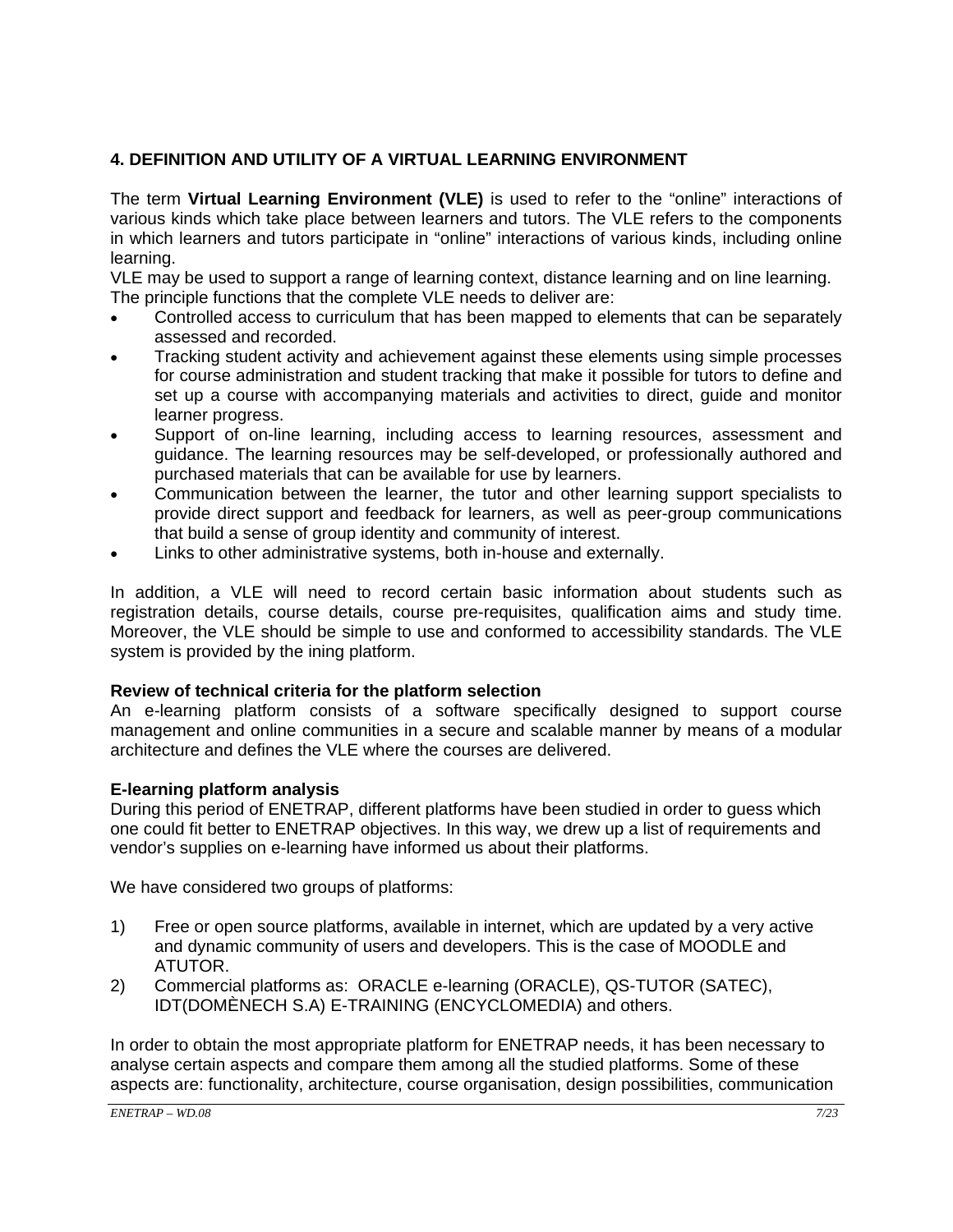## **4. DEFINITION AND UTILITY OF A VIRTUAL LEARNING ENVIRONMENT**

The term **Virtual Learning Environment (VLE)** is used to refer to the "online" interactions of various kinds which take place between learners and tutors. The VLE refers to the components in which learners and tutors participate in "online" interactions of various kinds, including online learning.

VLE may be used to support a range of learning context, distance learning and on line learning. The principle functions that the complete VLE needs to deliver are:

- Controlled access to curriculum that has been mapped to elements that can be separately assessed and recorded.
- Tracking student activity and achievement against these elements using simple processes for course administration and student tracking that make it possible for tutors to define and set up a course with accompanying materials and activities to direct, guide and monitor learner progress.
- Support of on-line learning, including access to learning resources, assessment and guidance. The learning resources may be self-developed, or professionally authored and purchased materials that can be available for use by learners.
- Communication between the learner, the tutor and other learning support specialists to provide direct support and feedback for learners, as well as peer-group communications that build a sense of group identity and community of interest.
- Links to other administrative systems, both in-house and externally.

In addition, a VLE will need to record certain basic information about students such as registration details, course details, course pre-requisites, qualification aims and study time. Moreover, the VLE should be simple to use and conformed to accessibility standards. The VLE system is provided by the ining platform.

### **Review of technical criteria for the platform selection**

An e-learning platform consists of a software specifically designed to support course management and online communities in a secure and scalable manner by means of a modular architecture and defines the VLE where the courses are delivered.

## **E-learning platform analysis**

During this period of ENETRAP, different platforms have been studied in order to guess which one could fit better to ENETRAP objectives. In this way, we drew up a list of requirements and vendor's supplies on e-learning have informed us about their platforms.

We have considered two groups of platforms:

- 1) Free or open source platforms, available in internet, which are updated by a very active and dynamic community of users and developers. This is the case of MOODLE and ATUTOR.
- 2) Commercial platforms as: ORACLE e-learning (ORACLE), QS-TUTOR (SATEC), IDT(DOMÈNECH S.A) E-TRAINING (ENCYCLOMEDIA) and others.

In order to obtain the most appropriate platform for ENETRAP needs, it has been necessary to analyse certain aspects and compare them among all the studied platforms. Some of these aspects are: functionality, architecture, course organisation, design possibilities, communication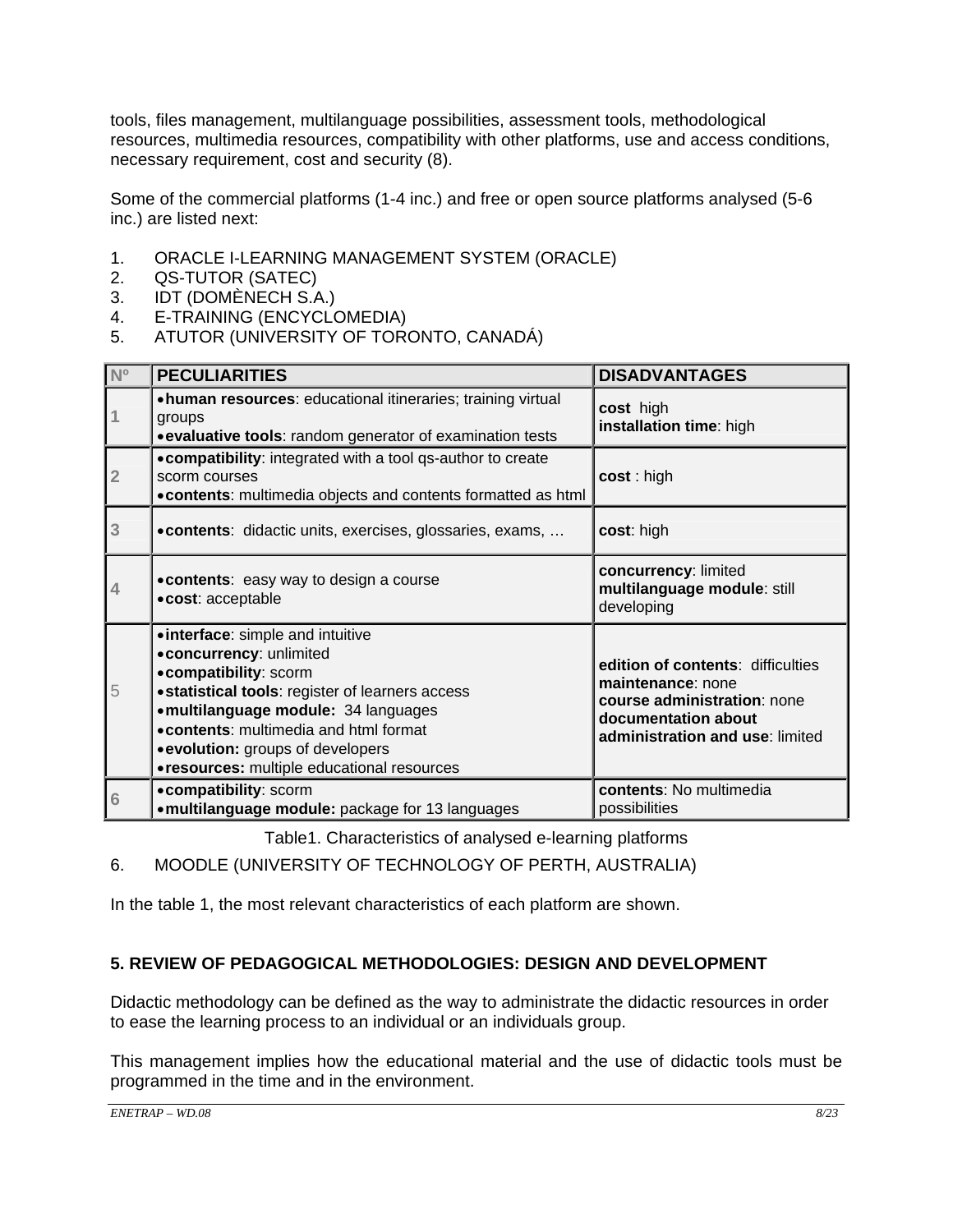tools, files management, multilanguage possibilities, assessment tools, methodological resources, multimedia resources, compatibility with other platforms, use and access conditions, necessary requirement, cost and security (8).

Some of the commercial platforms (1-4 inc.) and free or open source platforms analysed (5-6 inc.) are listed next:

- 1. ORACLE I-LEARNING MANAGEMENT SYSTEM (ORACLE)
- 2. QS-TUTOR (SATEC)
- 3. IDT (DOMÈNECH S.A.)
- 4. E-TRAINING (ENCYCLOMEDIA)
- 5. ATUTOR (UNIVERSITY OF TORONTO, CANADÁ)

| N <sup>o</sup> | <b>PECULIARITIES</b>                                                                                                                                                                                                                                                                                              | <b>DISADVANTAGES</b>                                                                                                                            |
|----------------|-------------------------------------------------------------------------------------------------------------------------------------------------------------------------------------------------------------------------------------------------------------------------------------------------------------------|-------------------------------------------------------------------------------------------------------------------------------------------------|
|                | • human resources: educational itineraries; training virtual<br>groups<br>• evaluative tools: random generator of examination tests                                                                                                                                                                               | cost high<br>installation time: high                                                                                                            |
| $\overline{2}$ | • compatibility: integrated with a tool qs-author to create<br>scorm courses<br>• contents: multimedia objects and contents formatted as html                                                                                                                                                                     | cost: high                                                                                                                                      |
| 3              | • contents: didactic units, exercises, glossaries, exams,                                                                                                                                                                                                                                                         | cost: high                                                                                                                                      |
| 4              | . contents: easy way to design a course<br>·cost: acceptable                                                                                                                                                                                                                                                      | concurrency: limited<br>multilanguage module: still<br>developing                                                                               |
| 5              | • interface: simple and intuitive<br>· concurrency: unlimited<br>• compatibility: scorm<br>· statistical tools: register of learners access<br>• multilanguage module: 34 languages<br>. contents: multimedia and html format<br>• evolution: groups of developers<br>• resources: multiple educational resources | edition of contents: difficulties<br>maintenance: none<br>course administration: none<br>documentation about<br>administration and use: limited |
| 6              | • compatibility: scorm<br>• multilanguage module: package for 13 languages                                                                                                                                                                                                                                        | contents: No multimedia<br>possibilities                                                                                                        |

Table1. Characteristics of analysed e-learning platforms

6. MOODLE (UNIVERSITY OF TECHNOLOGY OF PERTH, AUSTRALIA)

In the table 1, the most relevant characteristics of each platform are shown.

# **5. REVIEW OF PEDAGOGICAL METHODOLOGIES: DESIGN AND DEVELOPMENT**

Didactic methodology can be defined as the way to administrate the didactic resources in order to ease the learning process to an individual or an individuals group.

This management implies how the educational material and the use of didactic tools must be programmed in the time and in the environment.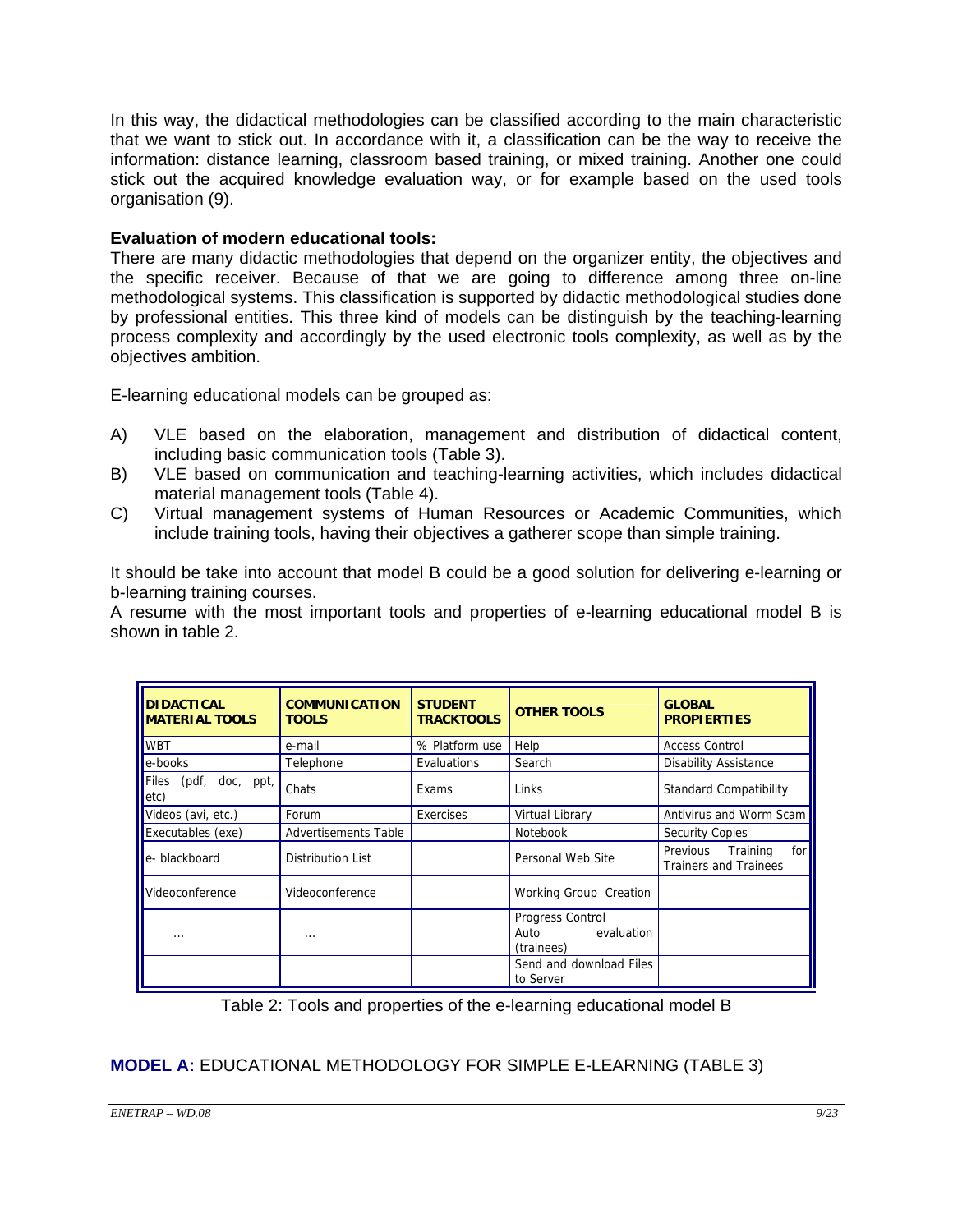In this way, the didactical methodologies can be classified according to the main characteristic that we want to stick out. In accordance with it, a classification can be the way to receive the information: distance learning, classroom based training, or mixed training. Another one could stick out the acquired knowledge evaluation way, or for example based on the used tools organisation (9).

### **Evaluation of modern educational tools:**

There are many didactic methodologies that depend on the organizer entity, the objectives and the specific receiver. Because of that we are going to difference among three on-line methodological systems. This classification is supported by didactic methodological studies done by professional entities. This three kind of models can be distinguish by the teaching-learning process complexity and accordingly by the used electronic tools complexity, as well as by the objectives ambition.

E-learning educational models can be grouped as:

- A) VLE based on the elaboration, management and distribution of didactical content, including basic communication tools (Table 3).
- B) VLE based on communication and teaching-learning activities, which includes didactical material management tools (Table 4).
- C) Virtual management systems of Human Resources or Academic Communities, which include training tools, having their objectives a gatherer scope than simple training.

It should be take into account that model B could be a good solution for delivering e-learning or b-learning training courses.

A resume with the most important tools and properties of e-learning educational model B is shown in table 2.

| <b>DIDACTICAL</b><br><b>MATERIAL TOOLS</b> | <b>COMMUNICATION</b><br><b>TOOLS</b> | <b>STUDENT</b><br><b>TRACKTOOLS</b> | <b>OTHER TOOLS</b>                                   | <b>GLOBAL</b><br><b>PROPIERTIES</b>                      |
|--------------------------------------------|--------------------------------------|-------------------------------------|------------------------------------------------------|----------------------------------------------------------|
| <b>WBT</b>                                 | e-mail                               | % Platform use                      | Help                                                 | <b>Access Control</b>                                    |
| e-books                                    | Telephone                            | Evaluations                         | Search                                               | Disability Assistance                                    |
| (pdf, doc, ppt,<br>Files<br>etc)           | Chats                                | Exams                               | Links                                                | <b>Standard Compatibility</b>                            |
| Videos (avi, etc.)                         | Forum                                | Exercises                           | Virtual Library                                      | Antivirus and Worm Scam                                  |
| Executables (exe)                          | <b>Advertisements Table</b>          |                                     | <b>Notebook</b>                                      | <b>Security Copies</b>                                   |
| e-blackboard                               | Distribution List                    |                                     | Personal Web Site                                    | Previous Training<br>for<br><b>Trainers and Trainees</b> |
| Videoconference                            | Videoconference                      |                                     | Working Group Creation                               |                                                          |
| .                                          | $\cdots$                             |                                     | Progress Control<br>evaluation<br>Auto<br>(trainees) |                                                          |
|                                            |                                      |                                     | Send and download Files<br>to Server                 |                                                          |

Table 2: Tools and properties of the e-learning educational model B

# **MODEL A:** EDUCATIONAL METHODOLOGY FOR SIMPLE E-LEARNING (TABLE 3)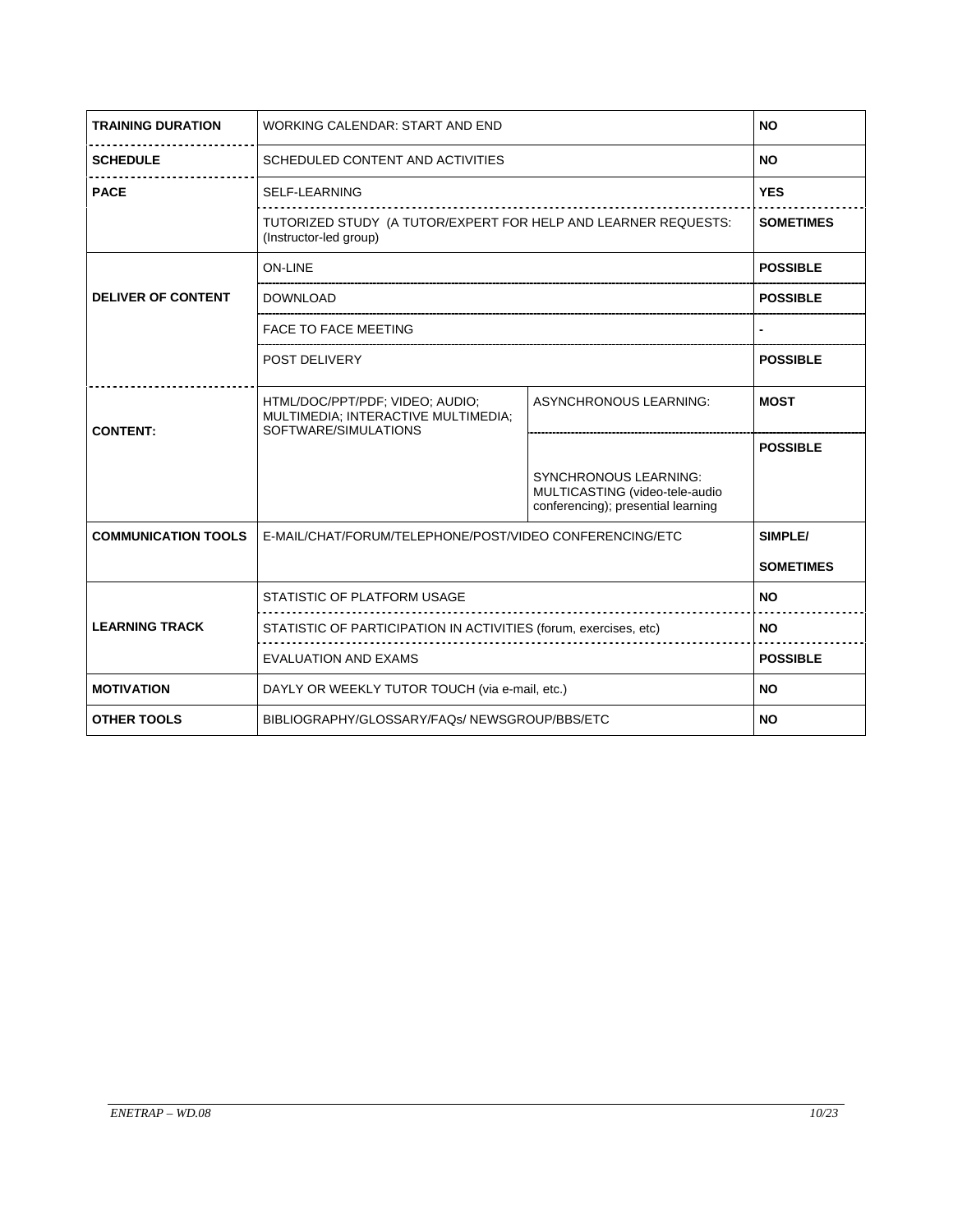| <b>TRAINING DURATION</b>   | WORKING CALENDAR: START AND END                                                                |                                                                                                      | <b>NO</b>        |
|----------------------------|------------------------------------------------------------------------------------------------|------------------------------------------------------------------------------------------------------|------------------|
| <b>SCHEDULE</b>            | SCHEDULED CONTENT AND ACTIVITIES                                                               |                                                                                                      | <b>NO</b>        |
| <b>PACE</b>                | <b>SELF-LEARNING</b>                                                                           |                                                                                                      | <b>YES</b>       |
|                            | TUTORIZED STUDY (A TUTOR/EXPERT FOR HELP AND LEARNER REQUESTS:<br>(Instructor-led group)       |                                                                                                      | <b>SOMETIMES</b> |
|                            | <b>ON-LINE</b>                                                                                 |                                                                                                      | <b>POSSIBLE</b>  |
| <b>DELIVER OF CONTENT</b>  | <b>DOWNLOAD</b>                                                                                |                                                                                                      | <b>POSSIBLE</b>  |
|                            | <b>FACE TO FACE MEETING</b>                                                                    |                                                                                                      |                  |
|                            | POST DELIVERY                                                                                  |                                                                                                      | <b>POSSIBLE</b>  |
| <b>CONTENT:</b>            | HTML/DOC/PPT/PDF; VIDEO; AUDIO;<br>MULTIMEDIA; INTERACTIVE MULTIMEDIA;<br>SOFTWARE/SIMULATIONS | ASYNCHRONOUS LEARNING:                                                                               | <b>MOST</b>      |
|                            |                                                                                                |                                                                                                      | <b>POSSIBLE</b>  |
|                            |                                                                                                | <b>SYNCHRONOUS LEARNING:</b><br>MULTICASTING (video-tele-audio<br>conferencing); presential learning |                  |
| <b>COMMUNICATION TOOLS</b> | E-MAIL/CHAT/FORUM/TELEPHONE/POST/VIDEO CONFERENCING/ETC                                        |                                                                                                      | SIMPLE/          |
|                            |                                                                                                |                                                                                                      | <b>SOMETIMES</b> |
|                            | STATISTIC OF PLATFORM USAGE                                                                    |                                                                                                      | <b>NO</b>        |
| <b>LEARNING TRACK</b>      | STATISTIC OF PARTICIPATION IN ACTIVITIES (forum, exercises, etc)                               |                                                                                                      | <b>NO</b>        |
|                            | <b>EVALUATION AND EXAMS</b>                                                                    |                                                                                                      | <b>POSSIBLE</b>  |
| <b>MOTIVATION</b>          | DAYLY OR WEEKLY TUTOR TOUCH (via e-mail, etc.)                                                 |                                                                                                      | <b>NO</b>        |
| <b>OTHER TOOLS</b>         | BIBLIOGRAPHY/GLOSSARY/FAQs/NEWSGROUP/BBS/ETC                                                   |                                                                                                      | <b>NO</b>        |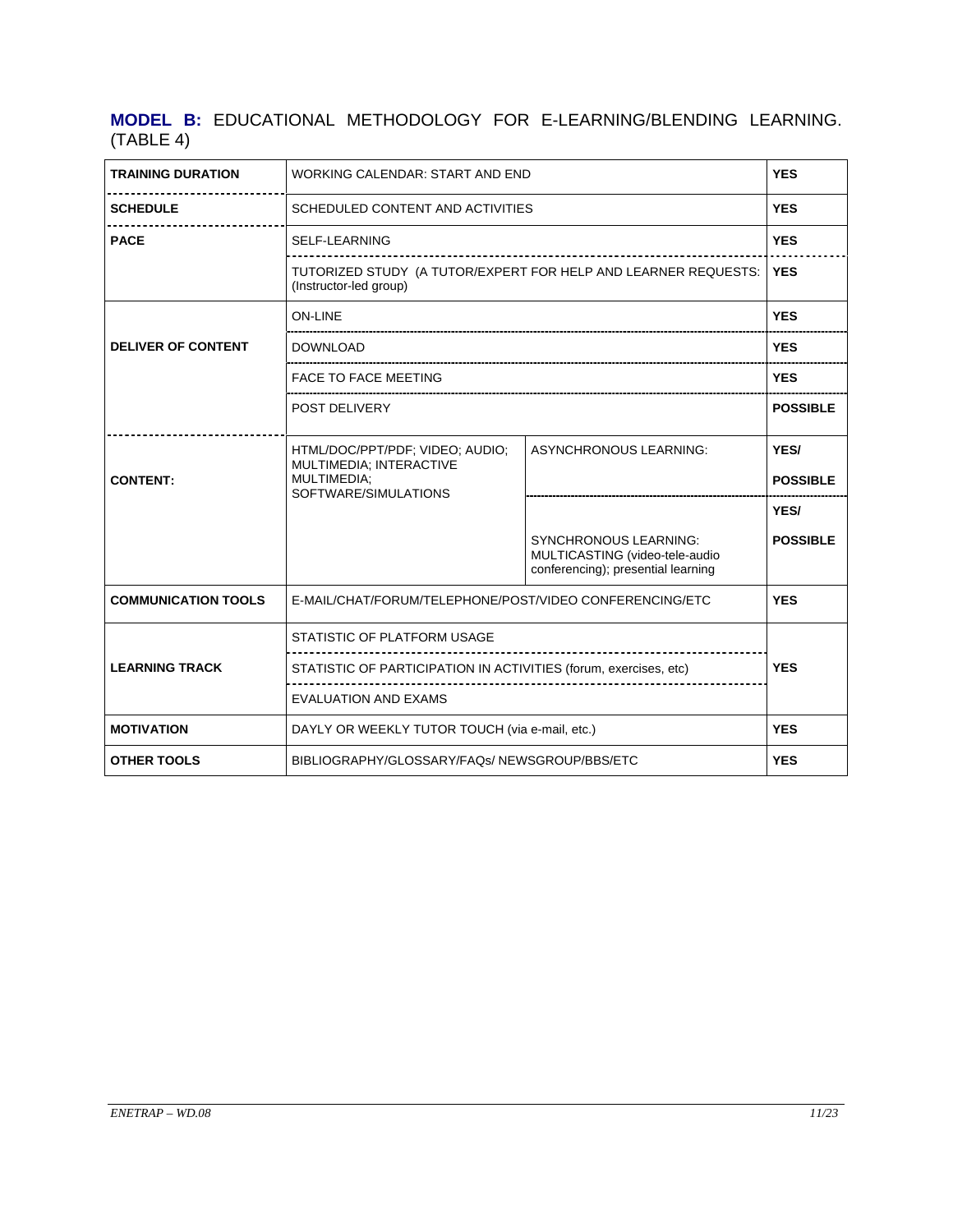## **MODEL B:** EDUCATIONAL METHODOLOGY FOR E-LEARNING/BLENDING LEARNING. (TABLE 4)

| <b>TRAINING DURATION</b>    | WORKING CALENDAR: START AND END                                                                   |                                                                                                      | <b>YES</b>              |
|-----------------------------|---------------------------------------------------------------------------------------------------|------------------------------------------------------------------------------------------------------|-------------------------|
| <b>SCHEDULE</b>             | SCHEDULED CONTENT AND ACTIVITIES                                                                  |                                                                                                      | <b>YES</b>              |
| <b>PACE</b>                 | <b>SELF-LEARNING</b>                                                                              |                                                                                                      | <b>YES</b>              |
|                             | TUTORIZED STUDY (A TUTOR/EXPERT FOR HELP AND LEARNER REQUESTS:<br>(Instructor-led group)          |                                                                                                      | <b>YES</b>              |
|                             | ON-LINE                                                                                           |                                                                                                      | <b>YES</b>              |
| <b>DELIVER OF CONTENT</b>   | DOWNLOAD                                                                                          |                                                                                                      | <b>YES</b>              |
|                             | <b>FACE TO FACE MEETING</b>                                                                       |                                                                                                      | <b>YES</b>              |
|                             | POST DELIVERY                                                                                     |                                                                                                      | <b>POSSIBLE</b>         |
| <b>CONTENT:</b>             | HTML/DOC/PPT/PDF; VIDEO; AUDIO;<br>MULTIMEDIA; INTERACTIVE<br>MULTIMEDIA;<br>SOFTWARE/SIMULATIONS | <b>ASYNCHRONOUS LEARNING:</b>                                                                        | YES/<br><b>POSSIBLE</b> |
|                             |                                                                                                   |                                                                                                      | YES/                    |
|                             |                                                                                                   | <b>SYNCHRONOUS LEARNING:</b><br>MULTICASTING (video-tele-audio<br>conferencing); presential learning | <b>POSSIBLE</b>         |
| <b>COMMUNICATION TOOLS</b>  | E-MAIL/CHAT/FORUM/TELEPHONE/POST/VIDEO CONFERENCING/ETC                                           |                                                                                                      | <b>YES</b>              |
|                             | STATISTIC OF PLATFORM USAGE                                                                       |                                                                                                      |                         |
| <b>LEARNING TRACK</b>       | STATISTIC OF PARTICIPATION IN ACTIVITIES (forum, exercises, etc)                                  |                                                                                                      | <b>YES</b>              |
| <b>EVALUATION AND EXAMS</b> |                                                                                                   |                                                                                                      |                         |
| <b>MOTIVATION</b>           | DAYLY OR WEEKLY TUTOR TOUCH (via e-mail, etc.)                                                    |                                                                                                      | <b>YES</b>              |
| <b>OTHER TOOLS</b>          | BIBLIOGRAPHY/GLOSSARY/FAQs/NEWSGROUP/BBS/ETC                                                      |                                                                                                      | <b>YES</b>              |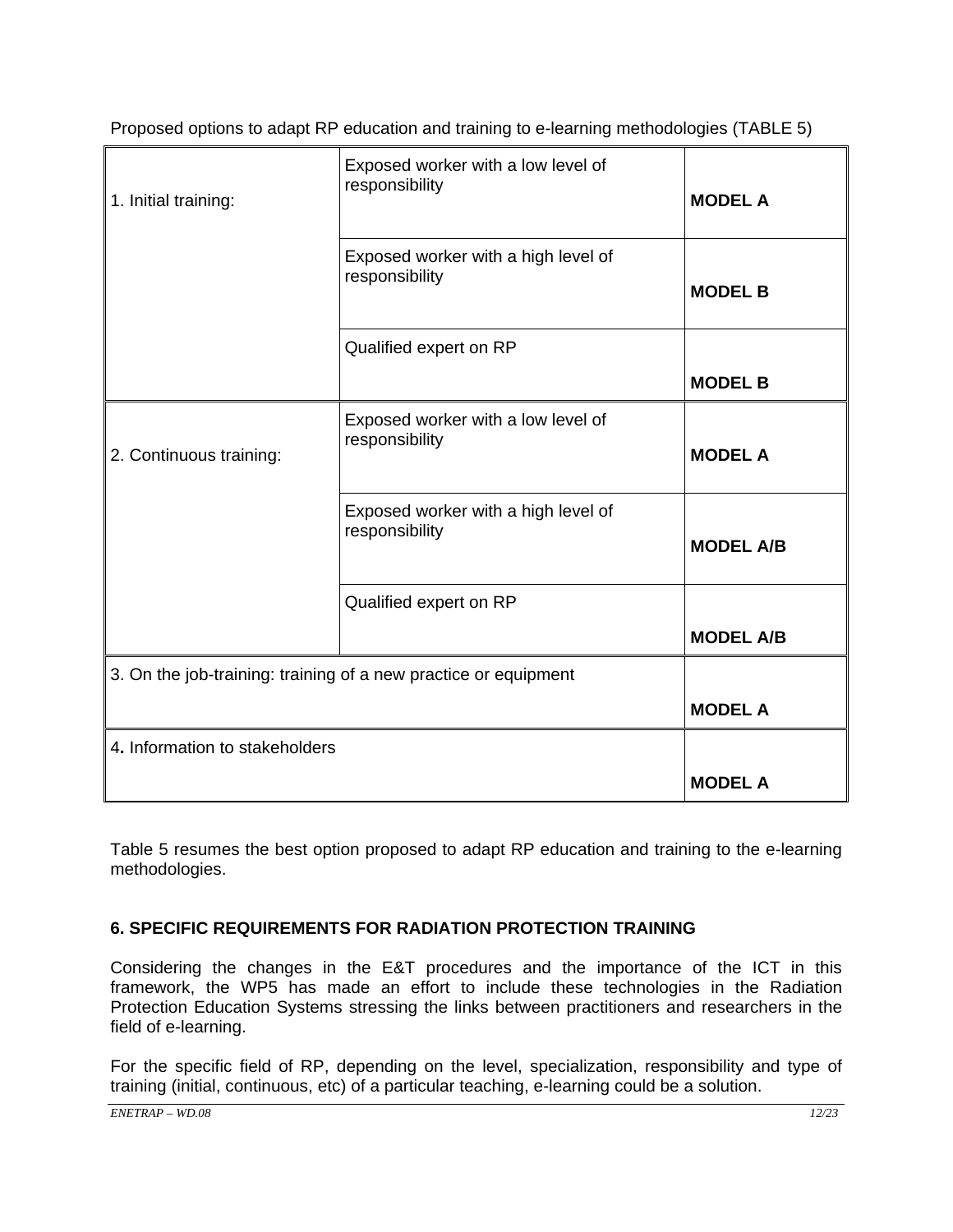| 1. Initial training:           | Exposed worker with a low level of<br>responsibility            | <b>MODEL A</b>   |
|--------------------------------|-----------------------------------------------------------------|------------------|
|                                | Exposed worker with a high level of<br>responsibility           | <b>MODEL B</b>   |
|                                | Qualified expert on RP                                          |                  |
|                                |                                                                 | <b>MODEL B</b>   |
| 2. Continuous training:        | Exposed worker with a low level of<br>responsibility            | <b>MODEL A</b>   |
|                                | Exposed worker with a high level of<br>responsibility           | <b>MODEL A/B</b> |
|                                | Qualified expert on RP                                          |                  |
|                                |                                                                 | <b>MODEL A/B</b> |
|                                | 3. On the job-training: training of a new practice or equipment |                  |
|                                |                                                                 | <b>MODEL A</b>   |
| 4. Information to stakeholders |                                                                 |                  |
|                                |                                                                 | <b>MODEL A</b>   |

Proposed options to adapt RP education and training to e-learning methodologies (TABLE 5)

Table 5 resumes the best option proposed to adapt RP education and training to the e-learning methodologies.

## **6. SPECIFIC REQUIREMENTS FOR RADIATION PROTECTION TRAINING**

Considering the changes in the E&T procedures and the importance of the ICT in this framework, the WP5 has made an effort to include these technologies in the Radiation Protection Education Systems stressing the links between practitioners and researchers in the field of e-learning.

For the specific field of RP, depending on the level, specialization, responsibility and type of training (initial, continuous, etc) of a particular teaching, e-learning could be a solution.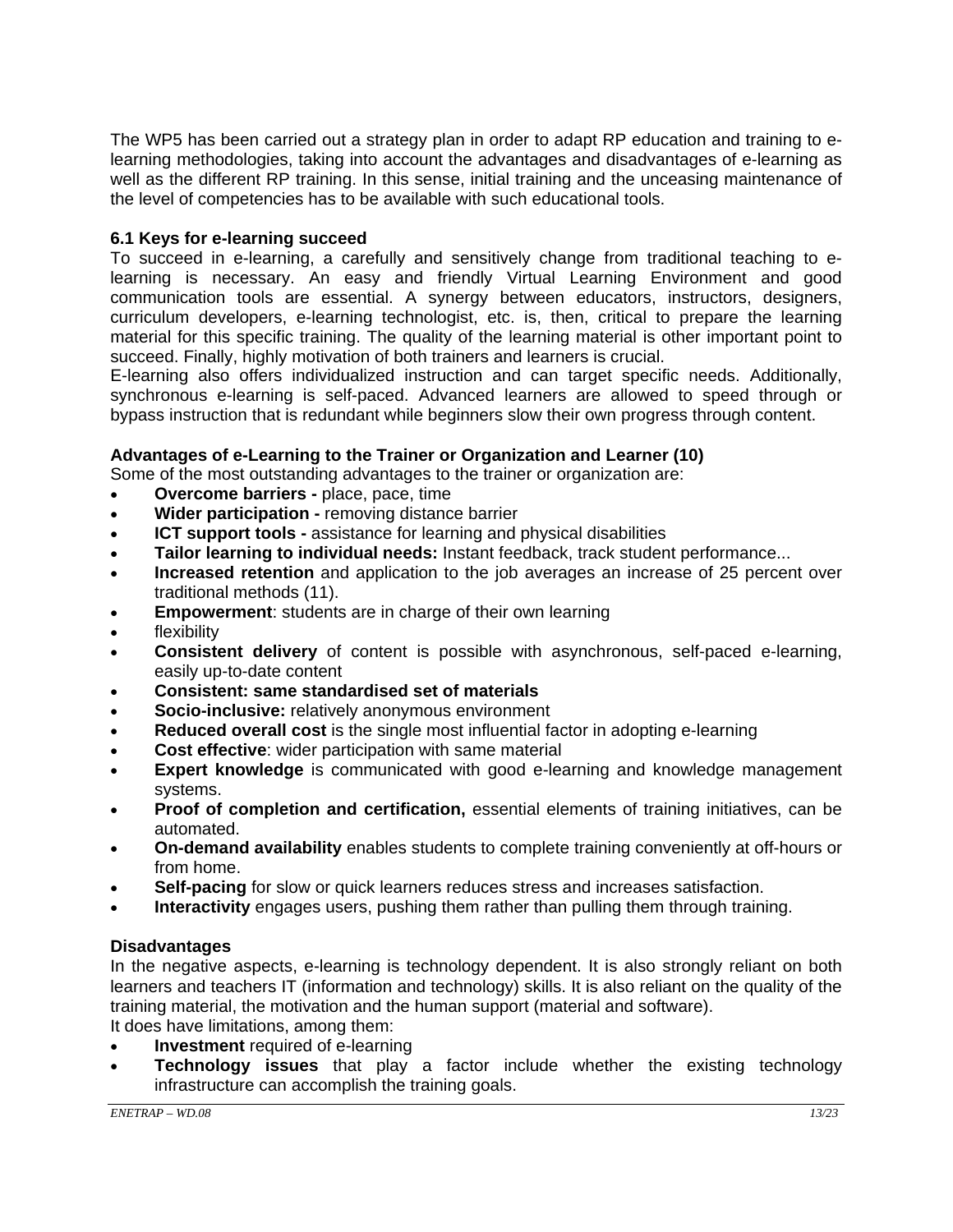The WP5 has been carried out a strategy plan in order to adapt RP education and training to elearning methodologies, taking into account the advantages and disadvantages of e-learning as well as the different RP training. In this sense, initial training and the unceasing maintenance of the level of competencies has to be available with such educational tools.

### **6.1 Keys for e-learning succeed**

To succeed in e-learning, a carefully and sensitively change from traditional teaching to elearning is necessary. An easy and friendly Virtual Learning Environment and good communication tools are essential. A synergy between educators, instructors, designers, curriculum developers, e-learning technologist, etc. is, then, critical to prepare the learning material for this specific training. The quality of the learning material is other important point to succeed. Finally, highly motivation of both trainers and learners is crucial.

E-learning also offers individualized instruction and can target specific needs. Additionally, synchronous e-learning is self-paced. Advanced learners are allowed to speed through or bypass instruction that is redundant while beginners slow their own progress through content.

## **Advantages of e-Learning to the Trainer or Organization and Learner (10)**

Some of the most outstanding advantages to the trainer or organization are:

- **Overcome barriers** place, pace, time
- **Wider participation** removing distance barrier
- **ICT support tools -** assistance for learning and physical disabilities
- **Tailor learning to individual needs:** Instant feedback, track student performance...
- **Increased retention** and application to the job averages an increase of 25 percent over traditional methods (11).
- **Empowerment:** students are in charge of their own learning
- flexibility
- **Consistent delivery** of content is possible with asynchronous, self-paced e-learning, easily up-to-date content
- **Consistent: same standardised set of materials**
- **Socio-inclusive:** relatively anonymous environment
- **Reduced overall cost** is the single most influential factor in adopting e-learning
- **Cost effective**: wider participation with same material
- **Expert knowledge** is communicated with good e-learning and knowledge management systems.
- **Proof of completion and certification,** essential elements of training initiatives, can be automated.
- **On-demand availability** enables students to complete training conveniently at off-hours or from home.
- **Self-pacing** for slow or quick learners reduces stress and increases satisfaction.
- **Interactivity** engages users, pushing them rather than pulling them through training.

### **Disadvantages**

In the negative aspects, e-learning is technology dependent. It is also strongly reliant on both learners and teachers IT (information and technology) skills. It is also reliant on the quality of the training material, the motivation and the human support (material and software). It does have limitations, among them:

- **Investment** required of e-learning
- **Technology issues** that play a factor include whether the existing technology infrastructure can accomplish the training goals.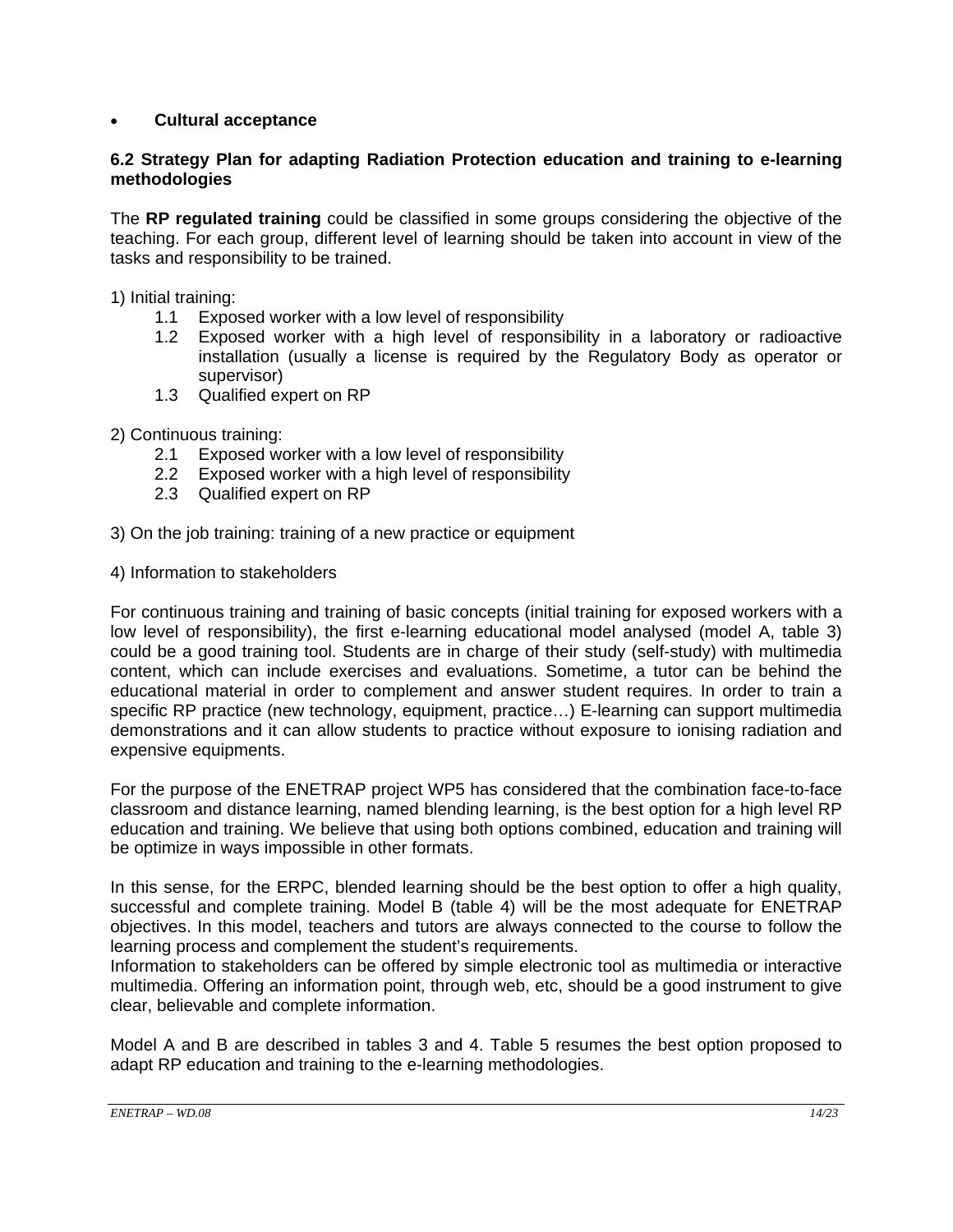## • **Cultural acceptance**

### **6.2 Strategy Plan for adapting Radiation Protection education and training to e-learning methodologies**

The **RP regulated training** could be classified in some groups considering the objective of the teaching. For each group, different level of learning should be taken into account in view of the tasks and responsibility to be trained.

1) Initial training:

- 1.1 Exposed worker with a low level of responsibility
- 1.2 Exposed worker with a high level of responsibility in a laboratory or radioactive installation (usually a license is required by the Regulatory Body as operator or supervisor)
- 1.3 Qualified expert on RP

2) Continuous training:

- 2.1 Exposed worker with a low level of responsibility
- 2.2 Exposed worker with a high level of responsibility
- 2.3 Qualified expert on RP
- 3) On the job training: training of a new practice or equipment
- 4) Information to stakeholders

For continuous training and training of basic concepts (initial training for exposed workers with a low level of responsibility), the first e-learning educational model analysed (model A, table 3) could be a good training tool. Students are in charge of their study (self-study) with multimedia content, which can include exercises and evaluations. Sometime, a tutor can be behind the educational material in order to complement and answer student requires. In order to train a specific RP practice (new technology, equipment, practice…) E-learning can support multimedia demonstrations and it can allow students to practice without exposure to ionising radiation and expensive equipments.

For the purpose of the ENETRAP project WP5 has considered that the combination face-to-face classroom and distance learning, named blending learning, is the best option for a high level RP education and training. We believe that using both options combined, education and training will be optimize in ways impossible in other formats.

In this sense, for the ERPC, blended learning should be the best option to offer a high quality, successful and complete training. Model B (table 4) will be the most adequate for ENETRAP objectives. In this model, teachers and tutors are always connected to the course to follow the learning process and complement the student's requirements.

Information to stakeholders can be offered by simple electronic tool as multimedia or interactive multimedia. Offering an information point, through web, etc, should be a good instrument to give clear, believable and complete information.

Model A and B are described in tables 3 and 4. Table 5 resumes the best option proposed to adapt RP education and training to the e-learning methodologies.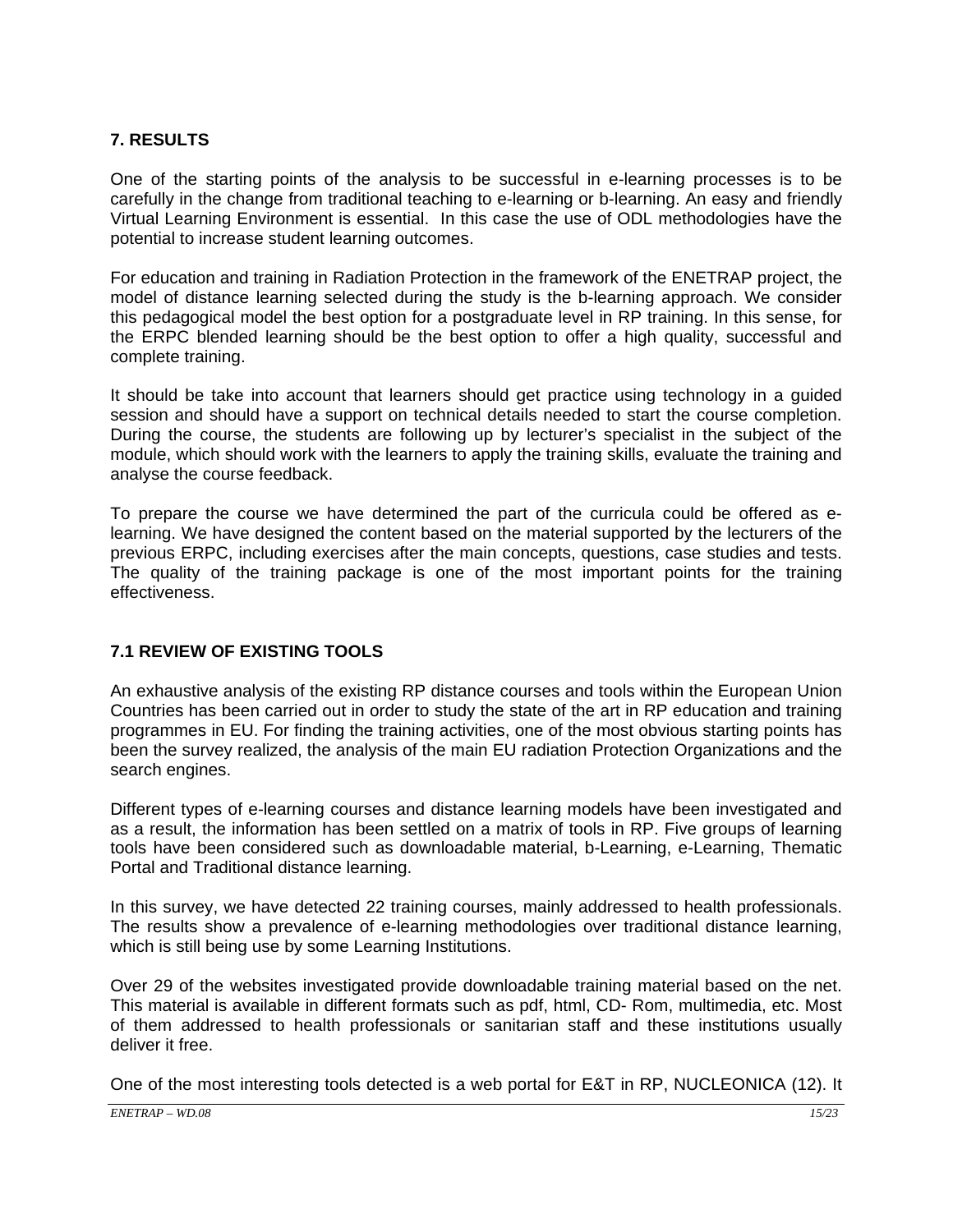## **7. RESULTS**

One of the starting points of the analysis to be successful in e-learning processes is to be carefully in the change from traditional teaching to e-learning or b-learning. An easy and friendly Virtual Learning Environment is essential. In this case the use of ODL methodologies have the potential to increase student learning outcomes.

For education and training in Radiation Protection in the framework of the ENETRAP project, the model of distance learning selected during the study is the b-learning approach. We consider this pedagogical model the best option for a postgraduate level in RP training. In this sense, for the ERPC blended learning should be the best option to offer a high quality, successful and complete training.

It should be take into account that learners should get practice using technology in a guided session and should have a support on technical details needed to start the course completion. During the course, the students are following up by lecturer's specialist in the subject of the module, which should work with the learners to apply the training skills, evaluate the training and analyse the course feedback.

To prepare the course we have determined the part of the curricula could be offered as elearning. We have designed the content based on the material supported by the lecturers of the previous ERPC, including exercises after the main concepts, questions, case studies and tests. The quality of the training package is one of the most important points for the training effectiveness.

### **7.1 REVIEW OF EXISTING TOOLS**

An exhaustive analysis of the existing RP distance courses and tools within the European Union Countries has been carried out in order to study the state of the art in RP education and training programmes in EU. For finding the training activities, one of the most obvious starting points has been the survey realized, the analysis of the main EU radiation Protection Organizations and the search engines.

Different types of e-learning courses and distance learning models have been investigated and as a result, the information has been settled on a matrix of tools in RP. Five groups of learning tools have been considered such as downloadable material, b-Learning, e-Learning, Thematic Portal and Traditional distance learning.

In this survey, we have detected 22 training courses, mainly addressed to health professionals. The results show a prevalence of e-learning methodologies over traditional distance learning, which is still being use by some Learning Institutions.

Over 29 of the websites investigated provide downloadable training material based on the net. This material is available in different formats such as pdf, html, CD- Rom, multimedia, etc. Most of them addressed to health professionals or sanitarian staff and these institutions usually deliver it free.

One of the most interesting tools detected is a web portal for E&T in RP, NUCLEONICA (12). It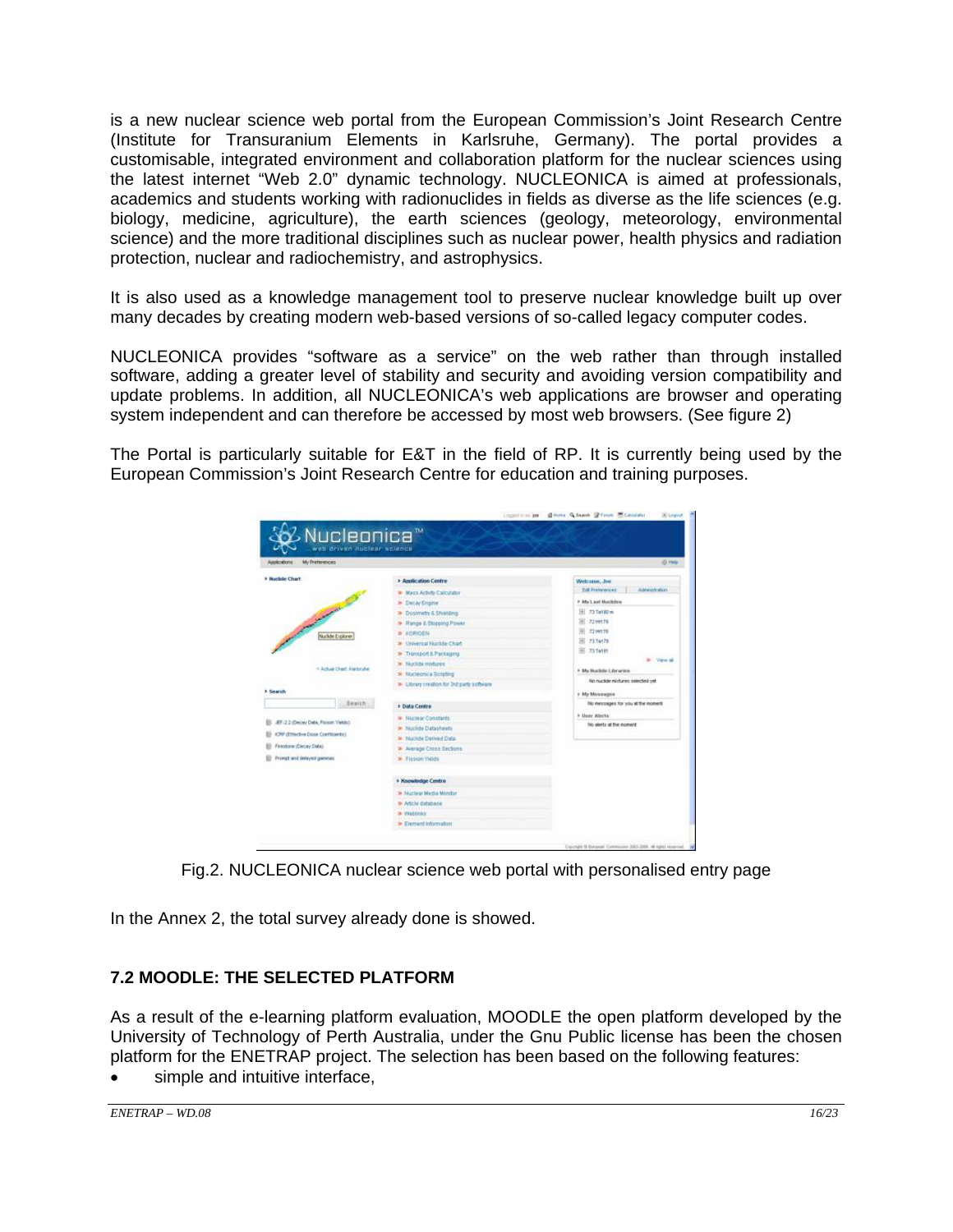is a new nuclear science web portal from the European Commission's Joint Research Centre (Institute for Transuranium Elements in Karlsruhe, Germany). The portal provides a customisable, integrated environment and collaboration platform for the nuclear sciences using the latest internet "Web 2.0" dynamic technology. NUCLEONICA is aimed at professionals, academics and students working with radionuclides in fields as diverse as the life sciences (e.g. biology, medicine, agriculture), the earth sciences (geology, meteorology, environmental science) and the more traditional disciplines such as nuclear power, health physics and radiation protection, nuclear and radiochemistry, and astrophysics.

It is also used as a knowledge management tool to preserve nuclear knowledge built up over many decades by creating modern web-based versions of so-called legacy computer codes.

NUCLEONICA provides "software as a service" on the web rather than through installed software, adding a greater level of stability and security and avoiding version compatibility and update problems. In addition, all NUCLEONICA's web applications are browser and operating system independent and can therefore be accessed by most web browsers. (See figure 2)

The Portal is particularly suitable for E&T in the field of RP. It is currently being used by the European Commission's Joint Research Centre for education and training purposes.

| My Preferences<br>Assications       |                                           | -0.HK                                    |
|-------------------------------------|-------------------------------------------|------------------------------------------|
| > Nuclide Chart                     | <b>Application Centre</b>                 | Welcome, Joe                             |
|                                     | <b>IF Mags Activity Calculator</b>        | <b>Bot Preterences</b><br>Administration |
|                                     | <b>In Decay Engine</b>                    | > My Last Huckdow                        |
| and of the local state of the       | M Dosimetry & Shielding                   | 36 73 Tall@m                             |
|                                     | <b>*</b> Frange II. Stopping Power        | 38 72 HHTM                               |
| Nuclide Explorer                    | <b>WINDER</b>                             | 38 72 let78                              |
|                                     | 36 Universal Nuclide Chart                | 38 73 Ta778                              |
|                                     | <b>*</b> Transport & Packaging            | 86 73 Ten Bt                             |
|                                     | <b>39 Nuclide midures</b>                 | D View all                               |
| * Actual Chart, Kwismhe             | a Nucleonica Scripting                    | > My Huckley Libraries                   |
|                                     | > Library creation for 3rd party software | No nucleir midures selected yet          |
| > Search                            |                                           | » My Mirmangers                          |
| Seatch.                             | > Data Centre                             | No messages for you at the moment        |
|                                     | <b>36 Nuclear Constants</b>               | k Gaar Alecta                            |
| JEF-2.2 (Decey Data, Fisson Vields) | <b>36 Nuclide Datasheets</b>              | No slerts at the moment                  |
| ICRP (Effective Does Confirments)   | 36 Nuclide Derived Data                   |                                          |
| Firestone (Decay Data)              | <b>38 Average Cross Sections</b>          |                                          |
| Prompt wild delayed gammag          | <b>3</b> Flosion Welds                    |                                          |
|                                     | > Knowledge Centre                        |                                          |
|                                     | <b>10 Nuclear Media Monitor</b>           |                                          |
|                                     | <b>W</b> Article database                 |                                          |
|                                     | <b>M: Wieblinka</b>                       |                                          |
|                                     | In Element Information                    |                                          |

Fig.2. NUCLEONICA nuclear science web portal with personalised entry page

In the Annex 2, the total survey already done is showed.

## **7.2 MOODLE: THE SELECTED PLATFORM**

As a result of the e-learning platform evaluation, MOODLE the open platform developed by the University of Technology of Perth Australia, under the Gnu Public license has been the chosen platform for the ENETRAP project. The selection has been based on the following features:

simple and intuitive interface,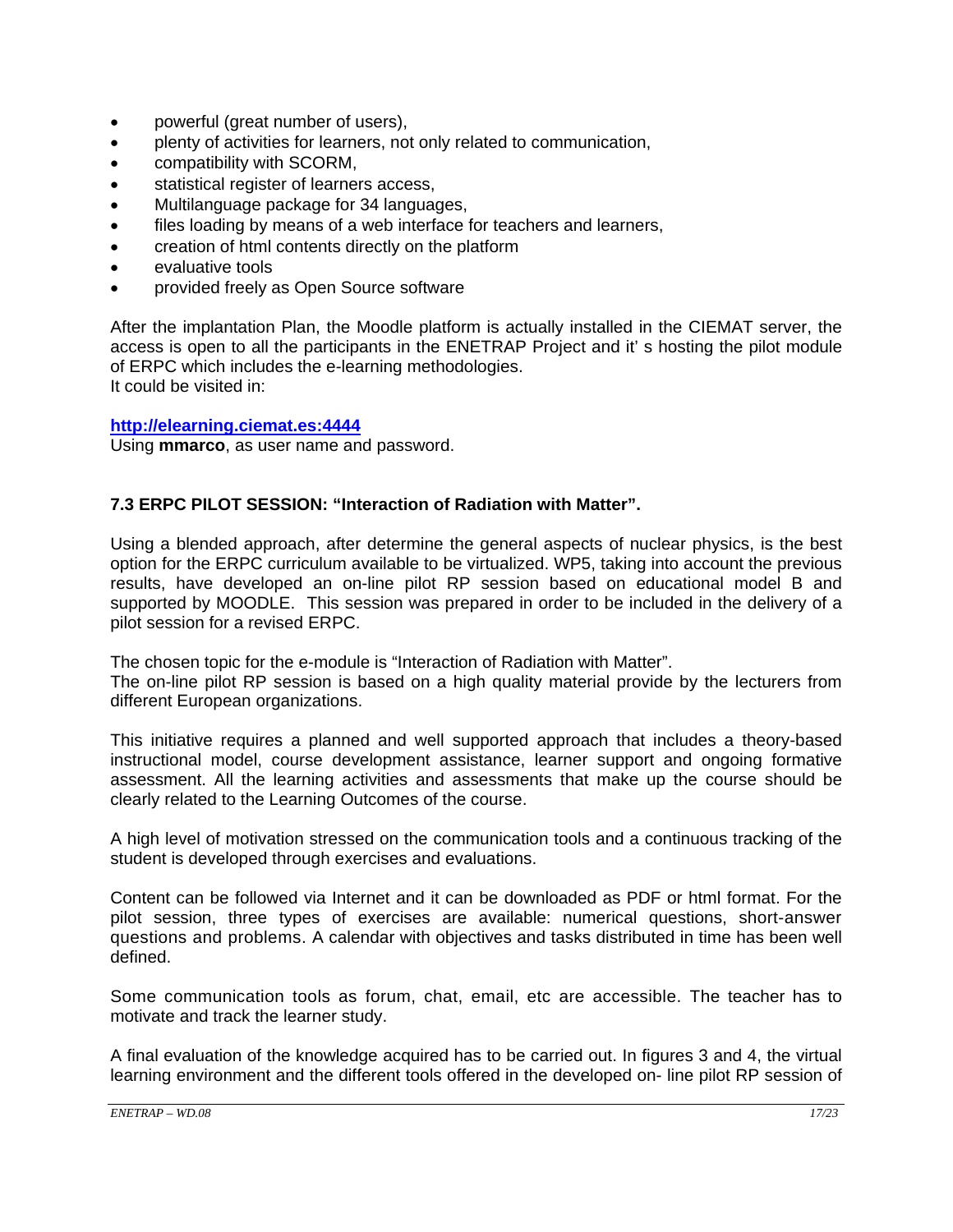- powerful (great number of users),
- plenty of activities for learners, not only related to communication,
- compatibility with SCORM,
- statistical register of learners access,
- Multilanguage package for 34 languages,
- files loading by means of a web interface for teachers and learners,
- creation of html contents directly on the platform
- evaluative tools
- provided freely as Open Source software

After the implantation Plan, the Moodle platform is actually installed in the CIEMAT server, the access is open to all the participants in the ENETRAP Project and it' s hosting the pilot module of ERPC which includes the e-learning methodologies. It could be visited in:

#### **http://elearning.ciemat.es:4444**

Using **mmarco**, as user name and password.

## **7.3 ERPC PILOT SESSION: "Interaction of Radiation with Matter".**

Using a blended approach, after determine the general aspects of nuclear physics, is the best option for the ERPC curriculum available to be virtualized. WP5, taking into account the previous results, have developed an on-line pilot RP session based on educational model B and supported by MOODLE. This session was prepared in order to be included in the delivery of a pilot session for a revised ERPC.

The chosen topic for the e-module is "Interaction of Radiation with Matter".

The on-line pilot RP session is based on a high quality material provide by the lecturers from different European organizations.

This initiative requires a planned and well supported approach that includes a theory-based instructional model, course development assistance, learner support and ongoing formative assessment. All the learning activities and assessments that make up the course should be clearly related to the Learning Outcomes of the course.

A high level of motivation stressed on the communication tools and a continuous tracking of the student is developed through exercises and evaluations.

Content can be followed via Internet and it can be downloaded as PDF or html format. For the pilot session, three types of exercises are available: numerical questions, short-answer questions and problems. A calendar with objectives and tasks distributed in time has been well defined.

Some communication tools as forum, chat, email, etc are accessible. The teacher has to motivate and track the learner study.

A final evaluation of the knowledge acquired has to be carried out. In figures 3 and 4, the virtual learning environment and the different tools offered in the developed on- line pilot RP session of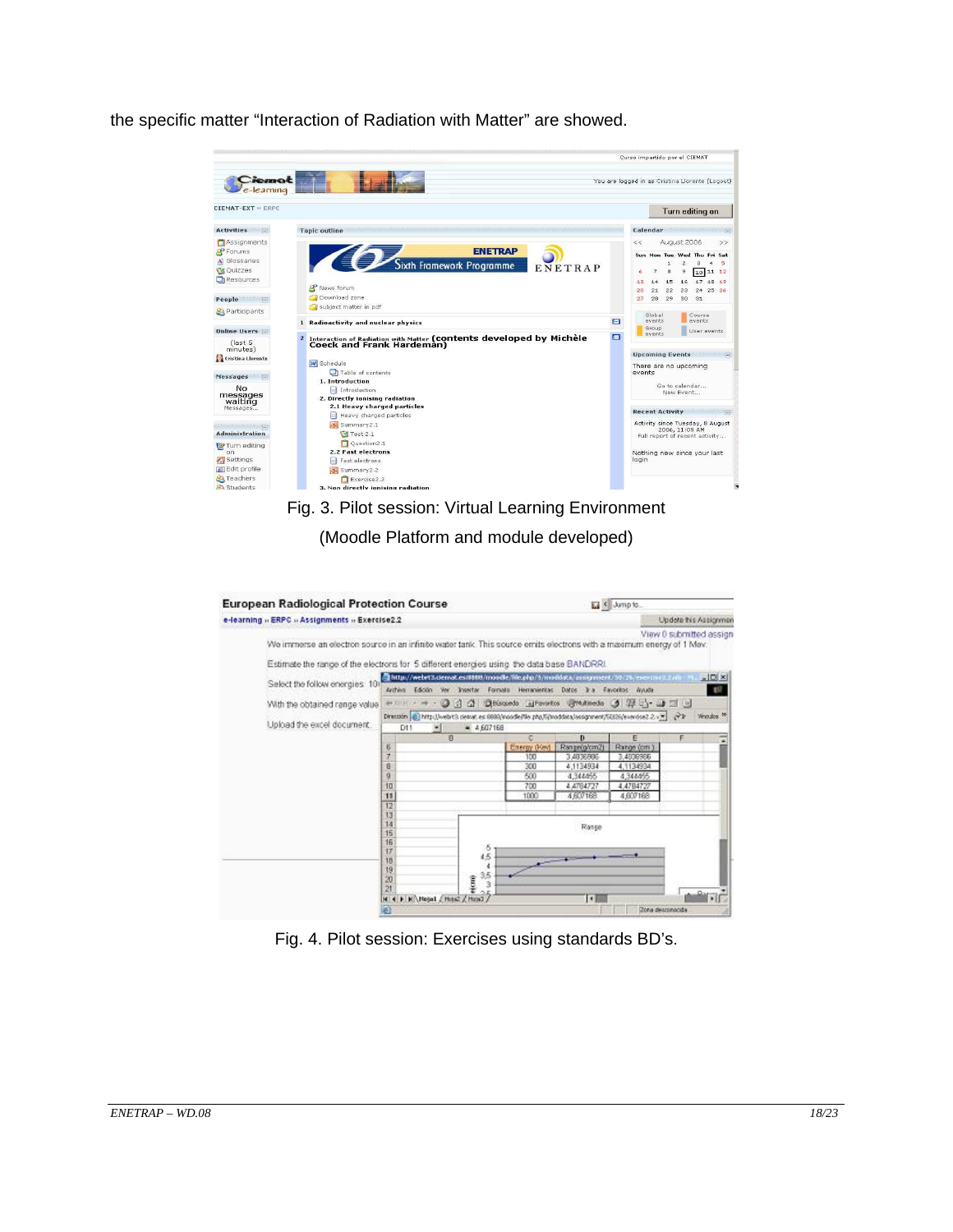the specific matter "Interaction of Radiation with Matter" are showed.



## Fig. 3. Pilot session: Virtual Learning Environment

(Moodle Platform and module developed)



Fig. 4. Pilot session: Exercises using standards BD's.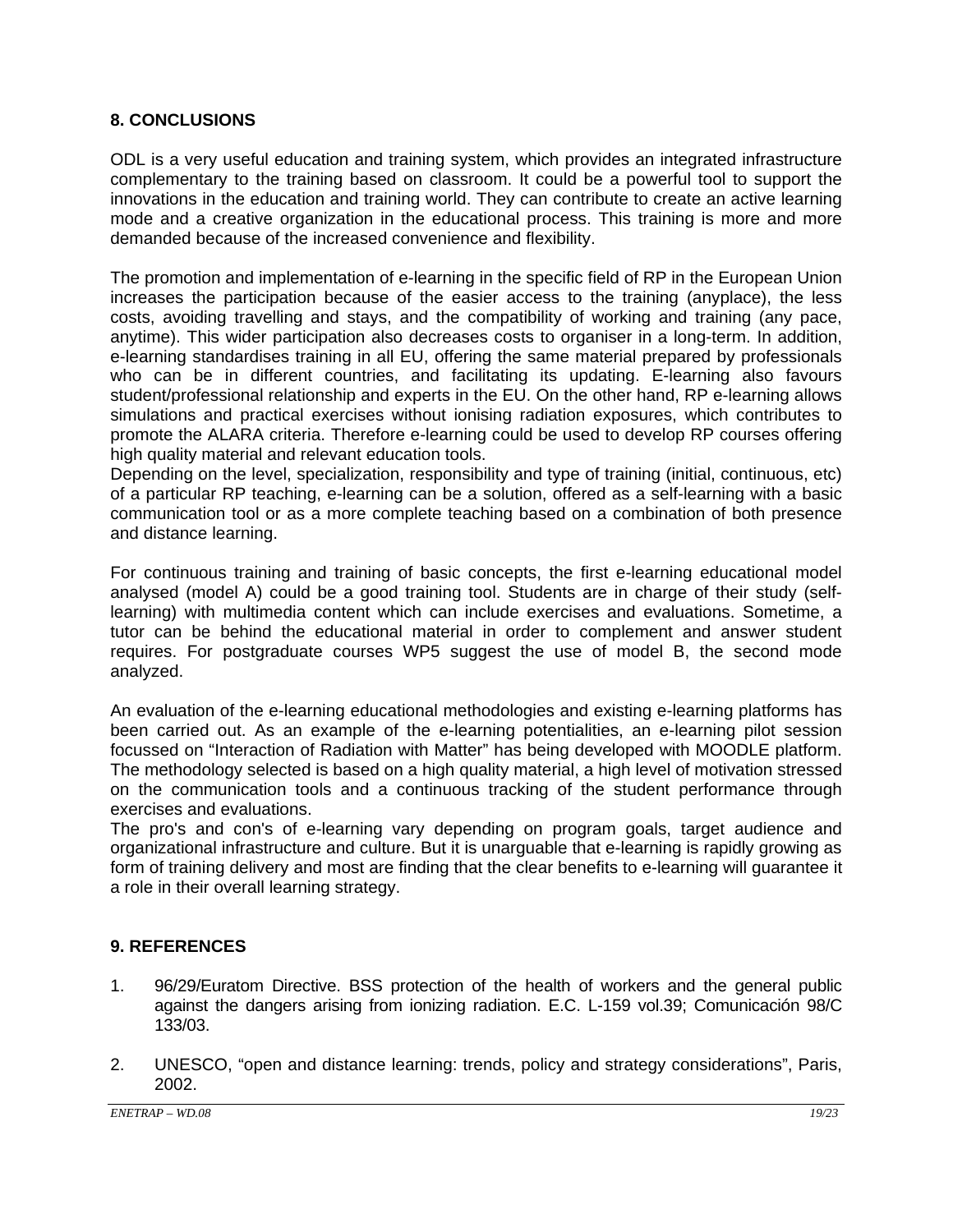### **8. CONCLUSIONS**

ODL is a very useful education and training system, which provides an integrated infrastructure complementary to the training based on classroom. It could be a powerful tool to support the innovations in the education and training world. They can contribute to create an active learning mode and a creative organization in the educational process. This training is more and more demanded because of the increased convenience and flexibility.

The promotion and implementation of e-learning in the specific field of RP in the European Union increases the participation because of the easier access to the training (anyplace), the less costs, avoiding travelling and stays, and the compatibility of working and training (any pace, anytime). This wider participation also decreases costs to organiser in a long-term. In addition, e-learning standardises training in all EU, offering the same material prepared by professionals who can be in different countries, and facilitating its updating. E-learning also favours student/professional relationship and experts in the EU. On the other hand, RP e-learning allows simulations and practical exercises without ionising radiation exposures, which contributes to promote the ALARA criteria. Therefore e-learning could be used to develop RP courses offering high quality material and relevant education tools.

Depending on the level, specialization, responsibility and type of training (initial, continuous, etc) of a particular RP teaching, e-learning can be a solution, offered as a self-learning with a basic communication tool or as a more complete teaching based on a combination of both presence and distance learning.

For continuous training and training of basic concepts, the first e-learning educational model analysed (model A) could be a good training tool. Students are in charge of their study (selflearning) with multimedia content which can include exercises and evaluations. Sometime, a tutor can be behind the educational material in order to complement and answer student requires. For postgraduate courses WP5 suggest the use of model B, the second mode analyzed.

An evaluation of the e-learning educational methodologies and existing e-learning platforms has been carried out. As an example of the e-learning potentialities, an e-learning pilot session focussed on "Interaction of Radiation with Matter" has being developed with MOODLE platform. The methodology selected is based on a high quality material, a high level of motivation stressed on the communication tools and a continuous tracking of the student performance through exercises and evaluations.

The pro's and con's of e-learning vary depending on program goals, target audience and organizational infrastructure and culture. But it is unarguable that e-learning is rapidly growing as form of training delivery and most are finding that the clear benefits to e-learning will guarantee it a role in their overall learning strategy.

## **9. REFERENCES**

- 1. 96/29/Euratom Directive. BSS protection of the health of workers and the general public against the dangers arising from ionizing radiation. E.C. L-159 vol.39; Comunicación 98/C 133/03.
- 2. UNESCO, "open and distance learning: trends, policy and strategy considerations", Paris, 2002.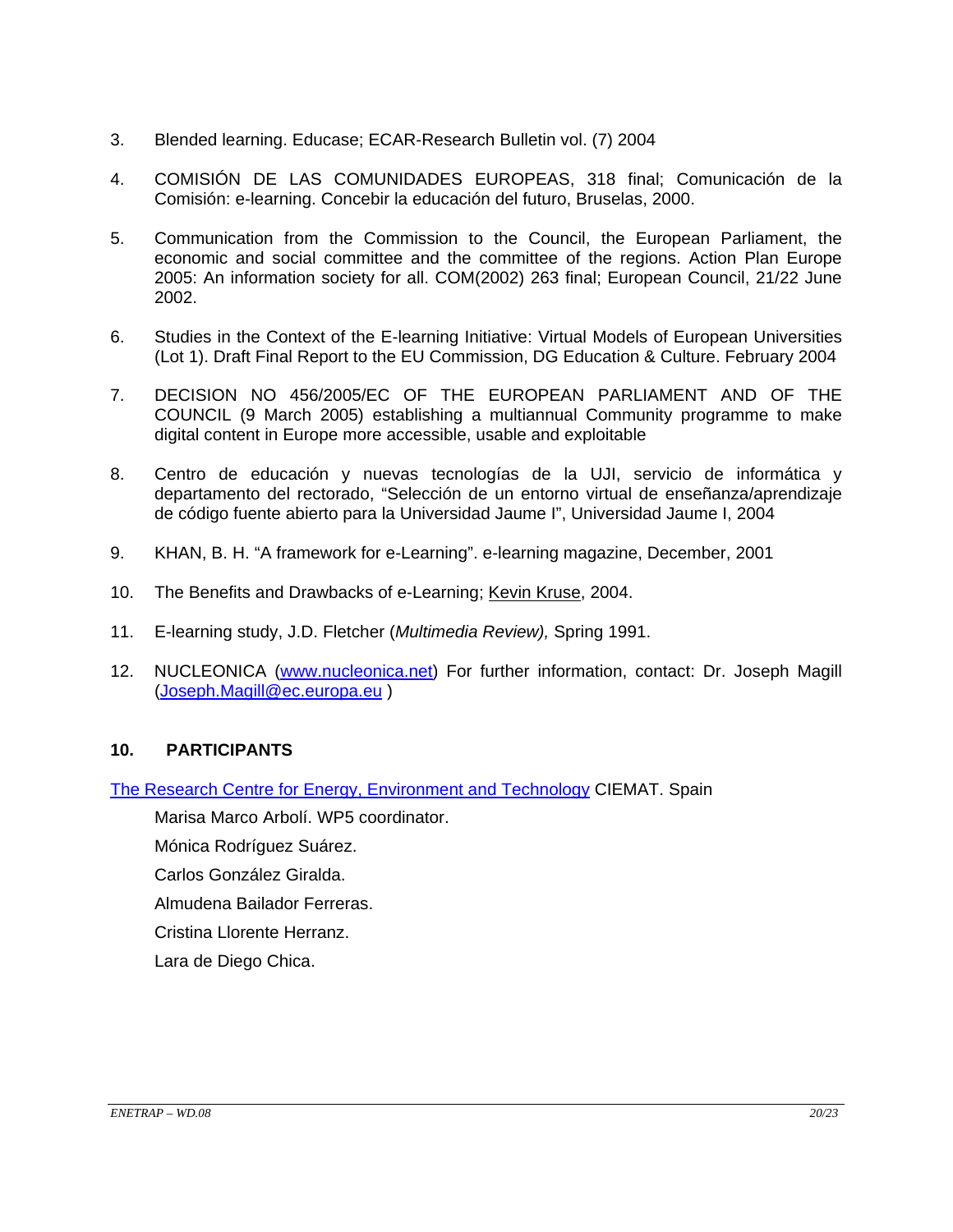- 3. Blended learning. Educase; ECAR-Research Bulletin vol. (7) 2004
- 4. COMISIÓN DE LAS COMUNIDADES EUROPEAS, 318 final; Comunicación de la Comisión: e-learning. Concebir la educación del futuro, Bruselas, 2000.
- 5. Communication from the Commission to the Council, the European Parliament, the economic and social committee and the committee of the regions. Action Plan Europe 2005: An information society for all. COM(2002) 263 final; European Council, 21/22 June 2002.
- 6. Studies in the Context of the E-learning Initiative: Virtual Models of European Universities (Lot 1). Draft Final Report to the EU Commission, DG Education & Culture. February 2004
- 7. DECISION NO 456/2005/EC OF THE EUROPEAN PARLIAMENT AND OF THE COUNCIL (9 March 2005) establishing a multiannual Community programme to make digital content in Europe more accessible, usable and exploitable
- 8. Centro de educación y nuevas tecnologías de la UJI, servicio de informática y departamento del rectorado, "Selección de un entorno virtual de enseñanza/aprendizaje de código fuente abierto para la Universidad Jaume I", Universidad Jaume I, 2004
- 9. KHAN, B. H. "A framework for e-Learning". e-learning magazine, December, 2001
- 10. The Benefits and Drawbacks of e-Learning; Kevin Kruse, 2004.
- 11. E-learning study, J.D. Fletcher (*Multimedia Review),* Spring 1991.
- 12. NUCLEONICA (www.nucleonica.net) For further information, contact: Dr. Joseph Magill (Joseph.Magill@ec.europa.eu )

### **10. PARTICIPANTS**

The Research Centre for Energy, Environment and Technology CIEMAT. Spain

Marisa Marco Arbolí. WP5 coordinator.

Mónica Rodríguez Suárez.

Carlos González Giralda.

Almudena Bailador Ferreras.

Cristina Llorente Herranz.

Lara de Diego Chica.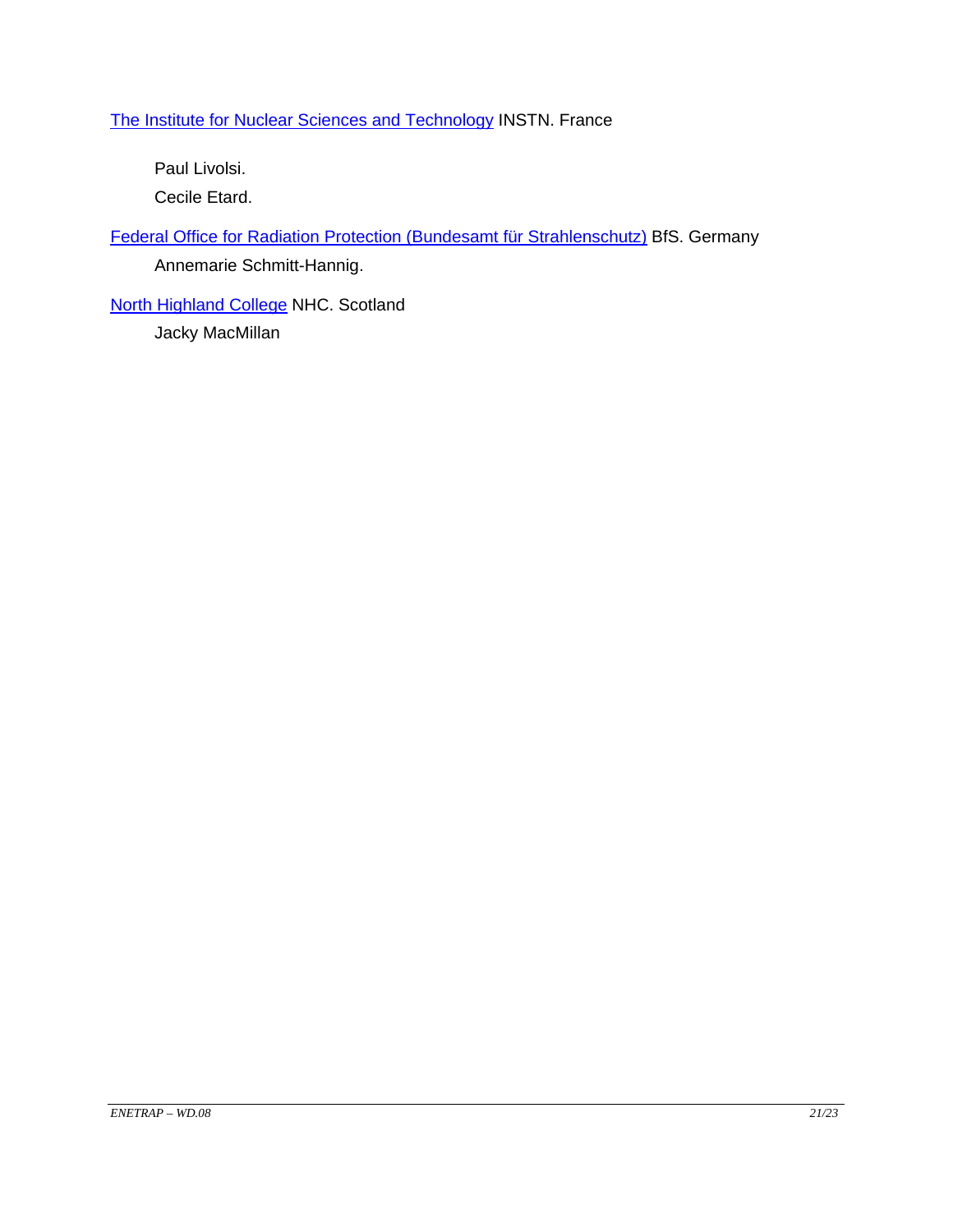## The Institute for Nuclear Sciences and Technology INSTN. France

Paul Livolsi.

Cecile Etard.

Federal Office for Radiation Protection (Bundesamt für Strahlenschutz) BfS. Germany Annemarie Schmitt-Hannig.

**North Highland College NHC. Scotland** Jacky MacMillan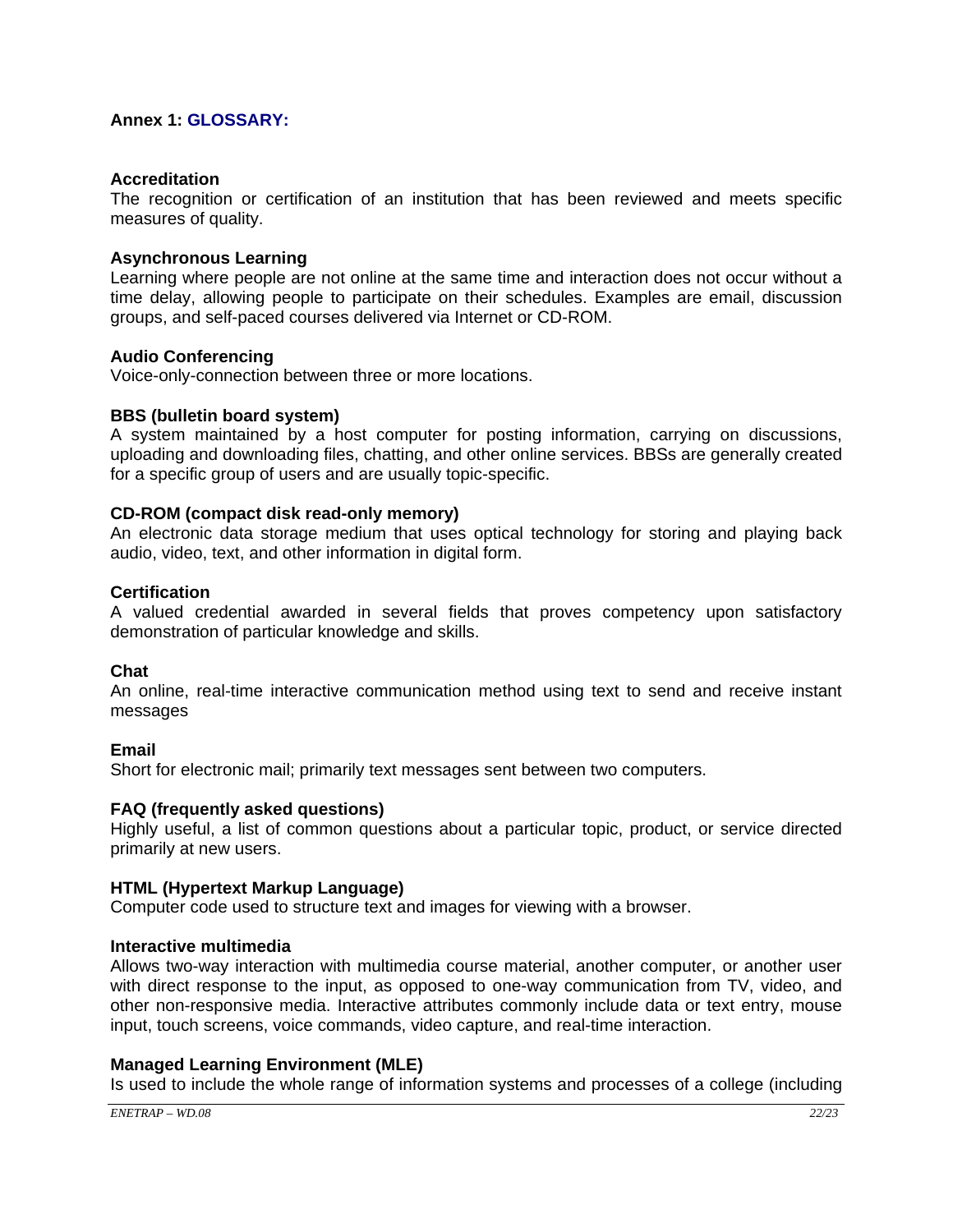#### **Annex 1: GLOSSARY:**

#### **Accreditation**

The recognition or certification of an institution that has been reviewed and meets specific measures of quality.

#### **Asynchronous Learning**

Learning where people are not online at the same time and interaction does not occur without a time delay, allowing people to participate on their schedules. Examples are email, discussion groups, and self-paced courses delivered via Internet or CD-ROM.

#### **Audio Conferencing**

Voice-only-connection between three or more locations.

#### **BBS (bulletin board system)**

A system maintained by a host computer for posting information, carrying on discussions, uploading and downloading files, chatting, and other online services. BBSs are generally created for a specific group of users and are usually topic-specific.

#### **CD-ROM (compact disk read-only memory)**

An electronic data storage medium that uses optical technology for storing and playing back audio, video, text, and other information in digital form.

#### **Certification**

A valued credential awarded in several fields that proves competency upon satisfactory demonstration of particular knowledge and skills.

#### **Chat**

An online, real-time interactive communication method using text to send and receive instant messages

#### **Email**

Short for electronic mail; primarily text messages sent between two computers.

#### **FAQ (frequently asked questions)**

Highly useful, a list of common questions about a particular topic, product, or service directed primarily at new users.

#### **HTML (Hypertext Markup Language)**

Computer code used to structure text and images for viewing with a browser.

#### **Interactive multimedia**

Allows two-way interaction with multimedia course material, another computer, or another user with direct response to the input, as opposed to one-way communication from TV, video, and other non-responsive media. Interactive attributes commonly include data or text entry, mouse input, touch screens, voice commands, video capture, and real-time interaction.

#### **Managed Learning Environment (MLE)**

Is used to include the whole range of information systems and processes of a college (including